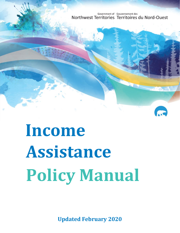Government of Gouvernement des Northwest Territories Territoires du Nord-Ouest

# **Income Assistance Policy Manual**

**Updated February 2020**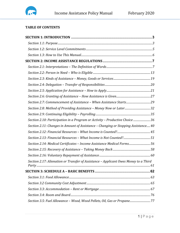

# **TABLE OF CONTENTS**

| Section 2.10: Participation in a Program or Activity - Productive Choice 36          |  |
|--------------------------------------------------------------------------------------|--|
| Section 2.11: Changes in Amount of Assistance - Changing or Stopping Assistance 40   |  |
|                                                                                      |  |
|                                                                                      |  |
| Section 2.14: Medical Certificates - Income Assistance Medical Forms56               |  |
|                                                                                      |  |
|                                                                                      |  |
| Section 2.17: Alienation or Transfer of Assistance - Applicant Owes Money to a Third |  |
|                                                                                      |  |
|                                                                                      |  |
|                                                                                      |  |
|                                                                                      |  |
|                                                                                      |  |
| Section 3.5: Fuel Allowance - Wood, Wood Pellets, Oil, Gas or Propane 77             |  |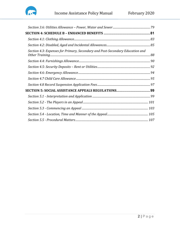

| Section 4.3: Expenses for Primary, Secondary and Post-Secondary Education and |  |
|-------------------------------------------------------------------------------|--|
|                                                                               |  |
|                                                                               |  |
|                                                                               |  |
|                                                                               |  |
|                                                                               |  |
|                                                                               |  |
|                                                                               |  |
|                                                                               |  |
|                                                                               |  |
|                                                                               |  |
|                                                                               |  |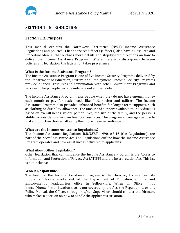

# <span id="page-3-0"></span>**SECTION 1: INTRODUCTION**

# <span id="page-3-1"></span>*Section 1.1: Purpose*

This manual explains the Northwest Territories (NWT) Income Assistance Regulations and policies. Client Services Officers (Officers) also have a Resource and Procedure Manual that outlines more details and step-by-step directions on how to deliver the Income Assistance Program. Where there is a discrepancy between policies and legislation, the legislation takes precedence.

# **What Is the Income Assistance Program?**

The Income Assistance Program is one of five Income Security Programs delivered by the Department of Education, Culture and Employment. Income Security Programs provide financial resources in combination with other Government Programs and services to help people become independent and self-reliant.

The Income Assistance Program helps people when they do not have enough money each month to pay for basic needs like food, shelter and utilities. The Income Assistance Program also provides enhanced benefits for longer-term supports, such as clothing or disability allowance. The amount of support available to individuals is based on overall needs, where person lives, the size of the family, and the person's ability to provide his/her own financial resources. The program encourages people to make productive choices, allowing them to achieve self-reliance.

#### **What are the Income Assistance Regulations?**

The Income Assistance Regulations, R.R.N.W.T. 1990, c.S-16 (the Regulations), are part of the *Social Assistance Act*. The Regulations outline how the Income Assistance Program operates and how assistance is delivered to applicants.

#### **What About Other Legislation?**

Other legislation that can influence the Income Assistance Program is the Access to Information and Protection of Privacy Act (ATIPP) and the Interpretation Act. This list is not inclusive.

#### **Who is Responsible?**

The head of the Income Assistance Program is the Director, Income Security Programs. He/she works out of the Department of Education, Culture and Employment's headquarters office in Yellowknife. When an Officer finds himself/herself in a situation that is not covered by the Act, the Regulations, or this Policy Manual, the Officer, through his/her Supervisor, should contact the Director, who makes a decision on how to handle the applicant's situation.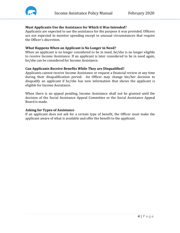

# **Must Applicants Use the Assistance for Which it Was Intended?**

Applicants are expected to use the assistance for the purpose it was provided. Officers are not expected to monitor spending except in unusual circumstances that require the Officer's discretion.

## **What Happens When an Applicant is No Longer in Need?**

When an applicant is no longer considered to be in need, he/she is no longer eligible to receive Income Assistance. If an applicant is later considered to be in need again, he/she can be considered for Income Assistance.

#### **Can Applicants Receive Benefits While They are Disqualified?**

Applicants cannot receive Income Assistance or request a financial review at any time during their disqualification period. An Officer may change his/her decision to disqualify an applicant if he/she has new information that shows the applicant is eligible for Income Assistance.

When there is an appeal pending, Income Assistance shall not be granted until the decision of the Social Assistance Appeal Committee or the Social Assistance Appeal Board is made.

#### **Asking for Types of Assistance**

If an applicant does not ask for a certain type of benefit, the Officer must make the applicant aware of what is available and offer the benefit to the applicant.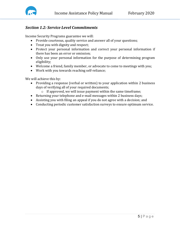

# <span id="page-5-0"></span>*Section 1.2: Service Level Commitments*

Income Security Programs guarantee we will:

- Provide courteous, quality service and answer all of your questions;
- Treat you with dignity and respect;
- Protect your personal information and correct your personal information if there has been an error or omission;
- Only use your personal information for the purpose of determining program eligibility;
- Welcome a friend, family member, or advocate to come to meetings with you;
- Work with you towards reaching self-reliance;

We will achieve this by:

- Providing a response (verbal or written) to your application within 2 business days of verifying all of your required documents;
	- o If approved, we will issue payment within the same timeframe;
- Returning your telephone and e-mail messages within 2 business days;
- Assisting you with filing an appeal if you do not agree with a decision; and
- Conducting periodic customer satisfaction surveys to ensure optimum service.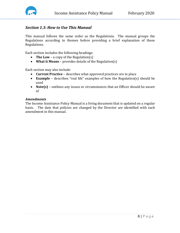

# <span id="page-6-0"></span>*Section 1.3: How to Use This Manual*

This manual follows the same order as the Regulations. The manual groups the Regulations according to themes before providing a brief explanation of those Regulations.

Each section includes the following headings:

- **The Law** a copy of the Regulation(s)
- **What it Means**  provides details of the Regulation(s)

Each section may also include:

- **Current Practice**  describes what approved practices are in place
- **Example**  describes "real life" examples of how the Regulation(s) should be used
- **Note(s)** outlines any issues or circumstances that an Officer should be aware of

#### *Amendments*

The Income Assistance Policy Manual is a living document that is updated on a regular basis. The date that policies are changed by the Director are identified with each amendment in this manual.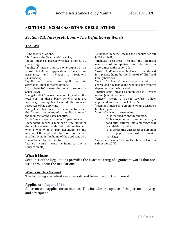

# <span id="page-7-0"></span>**SECTION 2: INCOME ASSISTANCE REGULATIONS**

# <span id="page-7-1"></span>*Section 2.1: Interpretations – The Definition of Words*

## **The Law**

1. In these regulations,

"Act" means the *Social Assistance Act*;

"adult" means a person who has attained 19 years of age ;

"applicant" means a person who applies or on whose behalf an application is made for assistance, and includes a recipient; includes a (*demandeur*)

"application" means an application for assistance under these regulations

"basic benefits" means the benefits set out in Schedule A;

"budget deficit" means the amount by which the total cost of those basic benefits that are necessary to an applicant exceeds the financial resources of the applicant;

"budget surplus" means the amount by which the financial resources of an applicant exceed the total cost of the basic benefits;

"child" means a person under 18 years of age; "dependant" means a member of the family of the applicant who resides with him or her and who is wholly or in part dependant on the income of the applicant, , but does not include an adult living in the home of the applicant who is maintained by the Director;

"earned income" means the items set out in subsection 20(3);

"enhanced benefits" means the benefits set out in Schedule B;

"financial resources" means the financial resources of an applicant as determined in accordance with section 20;

"foster child" means a child who is maintained in a private home by the Director of Child and Family Services;

"head of a family" means a person who has charge of a household and who has one or more dependants in the household;

"mature child" means a person who is 18 years of age; (*enfant mature*)

"Officer" means a Social Welfare Officer appointed under section 4 of the Act;

"recipient" means an person to whom assistance has been granted;

"spouse" means a person who

(a) is married to another person,

(b) has together with another person, in good faith, entered into a marriage that is voidable or void, or

(c) is cohabiting with another person in<br>a conjugal relationship outside relationship marriage;

"unearned income" means the items set out in subsection 20(4);

#### **What it Means**

Section 1 of the Regulations provides the exact meaning of significant words that are used throughout the Regulations.

#### **Words in This Manual**

The following are definitions of words and terms used in this manual:

#### **Applicant – August 2016**

A person who applies for assistance. This includes the spouse of the person applying and a recipient.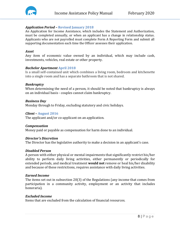

#### *Application Period –* **Revised January 2018**

An Application for Income Assistance, which includes the Statement and Authorization, must be completed annually, or when an applicant has a change in relationship status. Applicants who are not payrolled must complete Form A Reporting Form and submit all supporting documentation each time the Officer assesses their application.

#### *Asset*

Any item of economic value owned by an individual, which may include cash, investments, vehicles, real estate or other property.

#### *Bachelor Apartment* **April 2018**

Is a small self-contained unit which combines a living room, bedroom and kitchenette into a single room and has a separate bathroom that is not shared.

#### *Bankruptcy*

When determining the need of a person, it should be noted that bankruptcy is always on an individual basis - couples cannot claim bankruptcy.

#### *Business Day*

Monday through to Friday, excluding statutory and civic holidays.

#### *Client –* **August 2016**

The applicant and/or co-applicant on an application.

#### *Compensation*

Money paid or payable as compensation for harm done to an individual.

#### *Director's Discretion*

The Director has the legislative authority to make a decision in an applicant's case.

#### *Disabled Person*

A person with either physical or mental impairments that significantly restrict his/her ability to perform daily living activities, either permanently or periodically for extended periods, and medical treatment **would not** remove or heal his/her disability and because of these restrictions, requires assistance with daily living activities.

#### *Earned Income*

The items set out in subsection 20(3) of the Regulations (any income that comes from participation in a community activity, employment or an activity that includes honoraria).

#### *Excluded Income*

Items that are excluded from the calculation of financial resources.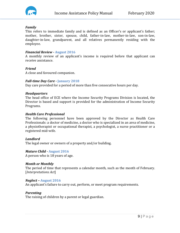

#### *Family*

This refers to immediate family and is defined as an Officer's or applicant's father; mother, brother, sister, spouse, child, father-in-law, mother-in-law, son-in-law, daughter-in-law, grandparent, and all relatives permanently residing with the employee.

#### *Financial Review -* **August 2016**

A monthly review of an applicant's income is required before that applicant can receive assistance.

#### *Friend*

A close and favoured companion.

# *Full-time Day Care -* **January 2018**

Day care provided for a period of more than five consecutive hours per day.

#### *Headquarters*

The head office of ECE where the Income Security Programs Division is located, the Director is based and support is provided for the administration of Income Security Programs.

#### *Health Care Professional*

The following personnel have been approved by the Director as Health Care Professionals: a doctor of medicine, a doctor who is specialized in an area of medicine, a physiotherapist or occupational therapist, a psychologist, a nurse practitioner or a registered mid-wife.

#### *Landlord*

The legal owner or owners of a property and/or building.

#### *Mature Child -* **August 2016**

A person who is 18 years of age.

#### *Month or Monthly*

The period of time that represents a calendar month, such as the month of February. [*Interpretations Act*]

#### *Neglect –* **August 2016**

An applicant's failure to carry out, perform, or meet program requirements.

#### *Parenting*

The raising of children by a parent or legal guardian.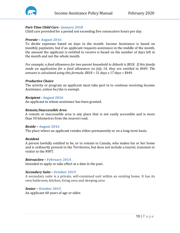

## *Part-Time Child Care -* **January 2018**

Child care provided for a period not exceeding five consecutive hours per day.

#### *Prorate –* **August 2016**

To divide expenses based on days in the month. Income Assistance is based on monthly payments, but if an applicant requests assistance in the middle of the month, the amount the applicant is entitled to receive is based on the number of days left in the month and not the whole month.

*For example, a food allowance for two parent household in Aklavik is \$818. If this family made an application for a food allowance on July 14, they are entitled to \$449. The amount is calculated using this formula: \$818 ÷ 31 days x 17 days = \$449.*

#### *Productive Choice*

The activity or program an applicant must take part in to continue receiving Income Assistance, unless he/she is exempt.

#### *Recipient -* **August 2016**

An applicant to whom assistance has been granted.

#### *Remote/Inaccessible Area*

A remote or inaccessible area is any place that is not easily accessible and is more than 50 kilometres from the nearest road.

#### *Reside –* **August 2016**

The place where an applicant resides either permanently or on a long-term basis.

#### *Resident*

A person lawfully entitled to be, or to remain in Canada, who makes his or her home and is ordinarily present in the Territories, but does not include a tourist, transient or visitor to the NWT.

#### *Retroactive –* **February 2014**

Intended to apply or take effect at a date in the past.

#### *Secondary Suite –* **October 2019**

A secondary suite is a private, self-contained unit within an existing home. It has its own bathroom, kitchen, living area and sleeping area

#### *Senior –* **October 2015**

An applicant 60 years of age or older.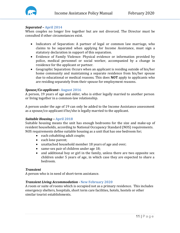

#### *Separated –* **April 2014**

When couples no longer live together but are not divorced. The Director must be consulted if other circumstances exist.

- Indicators of Separation: A partner of legal or common law marriage, who claims to be separated when applying for Income Assistance, must sign a statutory declaration in support of this separation.
- Evidence of Family Violence: Physical evidence or information provided by police, medical personnel or social worker, accompanied by a change in residence for the applicant or partner.
- Geographic Separation: Occurs when an applicant is residing outside of his/her home community and maintaining a separate residence from his/her spouse due to educational or medical reasons. This does **NOT** apply to applicants who are residing separately from their spouse for employment reasons.

#### *Spouse/Co-applicant–* **August 2016**

A person, 19 years of age and older, who is either legally married to another person or living together in a common-law relationship.

A person under the age of 19 can only be added to the Income Assistance assessment as a spouse/co-applicant if he/she is legally married to the applicant.

#### *Suitable Housing –* **April 2018**

Suitable housing means the unit has enough bedrooms for the size and make-up of resident households, according to National Occupancy Standard (NOS) requirements. NOS requirements define suitable housing as a unit that has one bedroom for;

- each cohabiting adult couple;
- each lone parent;
- unattached household member 18 years of age and over;
- same-sex pair of children under age 18;
- and additional boy or girl in the family, unless there are two opposite sex children under 5 years of age, in which case they are expected to share a bedroom.

#### *Transient*

A person who is in need of short-term assistance.

#### *Transient Living Accommodation -* **New February 2020**

A room or suite of rooms which is occupied not as a primary residence. This includes emergency shelters, hospitals, short term care facilities, hotels, hostels or other similar tourist establishments.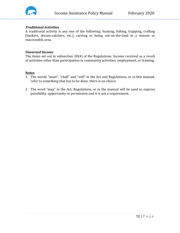

# *Traditional Activities*

A traditional activity is any one of the following: hunting, fishing, trapping, crafting (baskets, dream-catchers, etc.), carving or being out-on-the-land in a remote or inaccessible area.

#### *Unearned Income*

The items set out in subsection 20(4) of the Regulations. Income received as a result of activities other than participation in community activities, employment, or training.

#### **Notes**

- 1. The words "must", "shall" and "will" in the Act and Regulations, or in this manual, refer to something that has to be done, there is no choice.
- 2. The word "may" in the Act, Regulations, or in the manual will be used to express possibility, opportunity or permission and it is not a requirement.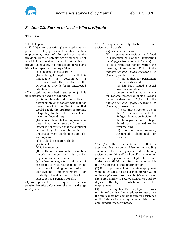# <span id="page-13-0"></span>*Section 2.2: Person in Need – Who is Eligible*

#### **The Law**

#### 1.1. (1) Repealed.

(1.1) Subject to subsection (2), an applicant is a person in need if, by reason of inability to obtain employment, loss of the principal family provider, illness, disability, age or other cause of any kind that makes the applicant unable to provide adequately for himself or herself and his or her dependants or any of them,

(a) a budget deficit exists; or

(b) a budget surplus exists that is<br>inadequate. as determined in inadequate, as determined in accordance with the direction of the Director, to provide for an unexpected situation.

(2) An applicant described in subsection (1.1) is not a person in need if the applicant

> (a) is employable but is unwilling to accept employment of any type that has been offered in the Territories that would enable the applicant to provide adequately for himself or herself and his or her dependants;

> (b) is unemployed but is employable as determined under section 5 and an Officer is not satisfied that the applicant is searching for and is willing to undertake wage employment or selfemployment;

(c) is a child or a mature child;

(d) Repealed;

(e) is incarcerated;

(f) has the means available to maintain himself or herself and his or her dependants adequately; or

(g) refuses or neglects to utilize all of the financial resources that he or she may access including but not limited to<br>employment, unemployment or unemployment disability benefits or, subject to subsection (3), pension benefits.

(3) An applicant is not required to access pension benefits before he or she attains the age of 65 years.

1.11**.** An applicant is only eligible to receive assistance if he or she

(a) is a Canadian citizen;

(b) is a permanent resident as defined in subsection 2(1) of the *Immigration and Refugee Protection Act* (Canada);

(c) is a protected person within the meaning of subsection 95(2) of the *Immigration and Refugee Protection Act*  (Canada) and he or she

> (i) has applied for permanent resident status, and

(ii) has been issued a social insurance number; or

(d) is a person who has made a claim for refugee protection inside Canada<br>under subsection 99(1) of the subsection  $99(1)$  of the *Immigration and Refugee Protection Act*  (Canada), whose claim

(i) has, under section 100 of that Act, been referred to the Refugee Protection Division of the Immigration and Refugee Board, or is deemed to be referred, and

(ii) has not been rejected,<br>suspended. abandoned or suspended, withdrawn.

1.12. (1) If the Director is satisfied that an applicant has made a false or misleading statement for the purpose of obtaining assistance for himself or herself or any other person, the applicant is not eligible to receive assistance until 60 days after the day on which the Director makes that determination.

(2) If an applicant voluntarily left employment without just cause as set out in paragraph 29(c) of the *Employment Insurance Act* (Canada) he or she is not eligible to receive assistance until 60 days after the day on which he or she left the employment.

(3) If an applicant's employment was terminated by his or her employer for just cause the applicant is not eligible to receive assistance until 60 days after the day on which his or her employment was terminated.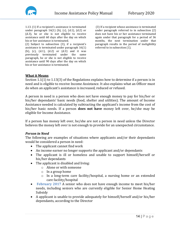

1.13. (1) If a recipient's assistance is terminated under paragraph  $16(1)$  (b), (c), (d.1), (d.2) or (d.3), he or she is not eligible to receive assistance until 60 days after the day on which his or her assistance is terminated.

(2) Subject to subsection (3), if a recipient's assistance is terminated under paragraph 16(1) (b), (c),  $(d.1)$ ,  $(d.2)$  or  $(d.3)$  and it was previously terminated under the same paragraph, he or she is not eligible to receive assistance until 90 days after the day on which his or her assistance is terminated.

(3) If a recipient whose assistance is terminated under paragraph referred to in subsection (2) does not have his or her assistance terminated again under that paragraph for a period of 36 months, the next termination under that paragraph results in the period of ineligibility referred to in subsection (1).

#### **What it Means**

Section 1.1(1) to 1.13(3) of the Regulations explains how to determine if a person is in need and is eligible to receive Income Assistance. It also explains what an Officer must do when an applicant's assistance is increased, reduced or refused.

A person in need is a person who does not have enough money to pay for his/her or his/her dependants' basic needs (food, shelter and utilities). The amount of Income Assistance needed is calculated by subtracting the applicant's income from the cost of his/her basic needs. If a person **does not have** money left over, he/she may be eligible for Income Assistance.

If a person has money left over, he/she are not a person in need unless the Director believes the money left over is not enough to provide for an unexpected circumstance.

#### *Person in Need*

The following are examples of situations where applicants and/or their dependants would be considered a person in need:

- The applicant cannot find work
- An income earner no longer supports the applicant and/or dependants
- The applicant is ill or homeless and unable to support himself/herself or his/her dependants
- The applicant is disabled and living:
	- o Alone or with someone
	- o In a group home
	- o In a long-term care facility/hospital, a nursing home or an extended care facility/hospital
- **February 2017** A senior who does not have enough income to meet his/her needs, including seniors who are currently eligible for Senior Home Heating Subsidy
- A applicant is unable to provide adequately for himself/herself and/or his/her dependants, according to the Director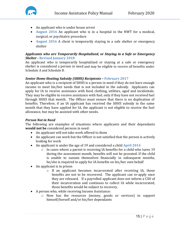

- An applicant who is under house arrest
- **August 2016** An applicant who is in a hospital in the NWT for a medical, surgical, or psychiatric procedure
- **August 2016** A client is temporarily staying in a safe shelter or emergency shelter

# *Applicants who are Temporarily Hospitalized, or Staying in a Safe or Emergency Shelter -* **Revised January 2018**

An applicant who is temporarily hospitalized or staying at a safe or emergency shelter is considered a person in need and may be eligible to receive all benefits under Schedule A and Schedule B.

# *Senior Home Heating Subsidy (SHHS) Recipients –* **February 2017**

An applicant who is a recipient of SHHS is a person in need if they do not have enough income to meet his/her needs that is not included in the subsidy. Applicants can apply for IA to receive assistance with food, clothing, utilities, aged and incidentals. They may be eligible to receive assistance with fuel, only if they have not received fuel through SHHS that month. The Officer must ensure that there is no duplication of benefits. Therefore, if an IA applicant has received the SHHS subsidy in the same month that they have applied for IA, the applicant is not eligible to receive the fuel allowance, but may be assisted with other needs.

# *Person Not in Need*

The following are examples of situations where applicants and their dependants **would not be** considered persons in need:

- An applicant will not take work offered to them
- An applicant can work but the Officer is not satisfied that the person is actively looking for work
- An applicant is under the age of 19 and considered a child **April 2014**
	- $\circ$  In cases where a parent is receiving IA benefits for a child who turns 19 during the assessment month, benefits will not be prorated. If the child is unable to sustain themselves financially in subsequent months, he/she is required to apply for IA benefits on his/her own behalf
- An applicant is in prison
	- o If an applicant becomes incarcerated after receiving IA, those benefits are not to be recovered. The applicant can re-apply once they are released. If a payrolled applicant does not inform a CSO of their incarceration and continues to collect IA while incarcerated, those benefits would be subject to recovery.
- A person who, while receiving Income Assistance:
	- o Now has the resources (money, goods or services) to support himself/herself and/or his/her dependants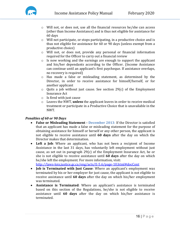

- o Will not, or does not, use all the financial resources he/she can access (other than Income Assistance) and is thus not eligible for assistance for 60 days
- o Will not participate, or stops participating, in a productive choice and is thus not eligible for assistance for 60 or 90 days (unless exempt from a productive choice)
- o Will not, or does not, provide any personal or financial information required for the Officer to carry out a financial review
- o Is now working and the earnings are enough to support the applicant and his/her dependants according to the Officer. (Income Assistance can continue until an applicant's first paycheque. If assistance overlaps, no recovery is required)
- o Has made a false or misleading statement, as determined by the Director, in order to receive assistance for himself/herself, or for another applicant
- o Quits a job without just cause. See section 29(c) of the Employment Insurance Act
- o Is fired with just cause
- o Leaves the NWT, **unless** the applicant leaves in order to receive medical treatment or participate in a Productive Choice that is unavailable in the NWT.

# *Penalties of 60 or 90 Days*

- **False or Misleading Statement - December 2013**: If the Director is satisfied that an applicant has made a false or misleading statement for the purpose of obtaining assistance for himself or herself or any other person, the applicant is not eligible to receive assistance until **60 days** after the day on which the Director makes that determination.
- **Left a Job**: Where an applicant, who has not been a recipient of Income Assistance in the last 31 days, has voluntarily left employment without just cause, as set out in paragraph 29(c) of the Employment Insurance Act, he or she is not eligible to receive assistance until **60 days** after the day on which he/she left the employment. For more information, visit:

<http://laws-lois.justice.gc.ca/eng/acts/E-5.6/page-10.html#docCont>

- **Job is Terminated with Just Cause**: Where an applicant's employment was terminated by his or her employer for just cause, the applicant is not eligible to receive assistance until **60 days** after the day on which his/her employment was terminated.
- **Assistance is Terminated**: Where an applicant's assistance is terminated based on this section of the Regulations, he/she is not eligible to receive assistance until **60 days** after the day on which his/her assistance is terminated.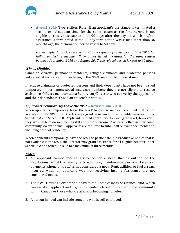

• **August 2016 Two Strikes Rule:** If an applicant's assistance is terminated a second or subsequent time, for the same reason as the first, he/she is not eligible to receive assistance until 90 days after the day on which his/her assistance is terminated. If the 90 day termination was issued more than 36 months ago, the termination period resets to 60 days.

*For example: John Doe received a 90 day refusal of assistance in June 2016 for failing to declare income. If he is not issued a refusal for the same reason between September 2016 and August 2017, the refusal period is reset to 60 days.*

#### *Who is Eligible?*

Canadian citizens, permanent residents, refugee claimants and protected persons with a social insurance number living in the NWT are eligible for assistance.

If refugee claimants or protected persons and their dependants have not been issued temporary or permanent social insurance numbers, they are not eligible to receive assistance. Officers must contact a Supervisor/Director who can verify the applicants' and their dependants' Canadian citizenship status.

#### *Applicants Temporarily Leave the NWT –* **Revised June 2018**

When applicants temporarily leave the NWT to receive medical treatment that is not available in the NWT the Director may grant assistance for all eligible benefits under Schedule A and Schedule B. Applicants should apply prior to leaving the NWT, however if they are unable to do so they may still apply to the Income Assistance office in their home community via fax or email. Applicants are required to submit all relevant documentation including proof of residency.

When applicants temporarily leave the NWT to participate in a Productive Choice that is not available in the NWT, the Director may grant assistance for all eligible benefits under Schedule A and Schedule B up to a maximum of three months.

#### **Notes**

- 1. An applicant cannot receive assistance for a need that is outside of the Regulations. A debt of any type (credit card, maintenance, personal taxes, car payments, phone bills etc.) is not considered a need. Rent, utilities, or fuel arrears incurred when an applicant was not receiving Income Assistance are not considered needs.
- 2. The NWT Housing Corporation delivers the Homelessness Assistance Fund, which can assist an applicant and his/her dependants to return to their home community within Canada or those who are at risk of becoming homeless.
- 3. A person in need can include someone who is self-employed.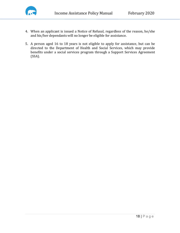

- 4. When an applicant is issued a Notice of Refusal, regardless of the reason, he/she and his/her dependants will no longer be eligible for assistance.
- 5. A person aged 16 to 18 years is not eligible to apply for assistance, but can be directed to the Department of Health and Social Services, which may provide benefits under a social services program through a Support Services Agreement (SSA).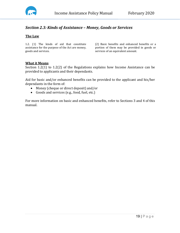

# <span id="page-19-0"></span>*Section 2.3: Kinds of Assistance – Money, Goods or Services*

## **The Law**

1.2. (1) The kinds of aid that constitute assistance for the purpose of the Act are money, goods and services.

(2) Basic benefits and enhanced benefits or a portion of them may be provided in goods or services of an equivalent amount.

#### **What it Means**

Section 1.2(1) to 1.2(2) of the Regulations explains how Income Assistance can be provided to applicants and their dependants.

Aid for basic and/or enhanced benefits can be provided to the applicant and his/her dependants in the form of:

- Money (cheque or direct deposit) and/or
- Goods and services (e.g., food, fuel, etc.)

For more information on basic and enhanced benefits, refer to Sections 3 and 4 of this manual.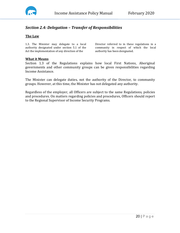

# <span id="page-20-0"></span>*Section 2.4: Delegation – Transfer of Responsibilities*

#### **The Law**

1.3. The Minister may delegate to a local authority designated under section 5.1 of the Act the implementation of any direction of the

Director referred to in these regulations in a community in respect of which the local authority has been designated.

#### **What it Means**

Section 1.3 of the Regulations explains how local First Nations, Aboriginal governments and other community groups can be given responsibilities regarding Income Assistance.

The Minister can delegate duties, not the authority of the Director, to community groups. However, at this time, the Minister has not delegated any authority.

Regardless of the employer, all Officers are subject to the same Regulations, policies and procedures. On matters regarding policies and procedures, Officers should report to the Regional Supervisor of Income Security Programs.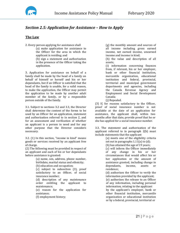

# <span id="page-21-0"></span>*Section 2.5: Application for Assistance – How to Apply*

## **The Law**

- 2. Every person applying for assistance shall
	- (a) make application for assistance to the Officer for the area in which the applicant is residing; and

(b) sign a statement and authorization in the presence of the Officer taking the application.

3. Application for assistance on behalf of a family shall be made by the head of a family on behalf of himself or herself and his or her dependants, but if an Officer is satisfied that the head of the family is unable, for a valid reason, to make the application, the Officer may permit the application to be made by another adult member of the family, or by a responsible person outside of the family.

3.1. Subject to sections 3.2 and 3.3, the Director shall determine the content of the forms to be used by an Officer for an application, statement and authorization referred to in section 2, and for an assessment and verification of whether an applicant is a person in need and for any other purpose that the Director considers necessary.

3.2. (1) In this section, "income in kind" means goods or services received by an applicant free of charge.

(2) The following must be provided in respect of an applicant and each of his or her dependants before assistance is granted:

- (a) name, sex, address, phone number, birthdate, marital status and ethnicity;
- (b) education and occupation;

(c) subject to subsection (3), proof satisfactory to an Officer, of social insurance number;

(d) description of any maintenance order entitling the applicant to maintenance;

(e) reason for the application for assistance;

(f) employment history;

(g) the monthly amount and sources of all income including gross earned income, net earned income, unearned income and income in kind;

(h) the value and description of all assets;

(i) information concerning finances from, if relevant, his or her employer, bank or other financial institution, mercantile organization, educational institution and federal, provincial, territorial and municipal government departments and agencies, including the Canada Revenue Agency and Employment and Social Development Canada;

(j) Repealed.

(3) If, for reasons satisfactory to the Officer, proof of social insurance number is not available at the date of an application for assistance, the applicant shall, within two months after that date, provide proof that he or she has applied for a social insurance number.

3.3. The statement and authorization of the applicant referred to in paragraph 2(b) must include statements that the applicant

(a) meets one of the eligibility criteria set out in paragraphs 1.11(a) to (d);

(b) has attained the age of 19 years;

(c) will inform the Officer immediately of any change in his or her circumstances that would affect his or her application or the amount of assistance granted, including change in<br>dependants, income, assets or dependants, income, assets or residence;

(d) authorizes the Officer to verify the information provided by the applicant; (e) authorizes the release to an Officer of any information, including personal information, relating to the applicant by the applicant's employer, bank or other financial institution, mercantile organization or educational institution or by a federal, provincial, territorial or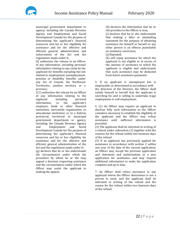

municipal government department or agency, including the Canada Revenue Agency and Employment and Social Development Canada for the purpose of determining the applicant's financial resources and his or her eligibility for assistance and for the effective and efficient general administration and enforcement of the Act and the regulations made under it;

(f) authorizes the release to an Officer of any information, including personal information relating to any claim by the applicant for benefits including but not limited to employment, unemployment, pension or disability benefits under any Act of Canada, the Northwest Territories, another territory or a province;

(f.1) authorizes the release by an Officer of any information relating to the<br>applicant including personal including personal<br>to the applicant's information, employer, bank or other financial institution, mercantile organization or educational institution or to a federal, provincial, territorial or municipal government department or agency, including the Canada Revenue Agency<br>and Employment and Social Employment and Development Canada for the purpose of determining the applicant's financial resources and his or her eligibility for assistance and for the effective and efficient general administration of the Act and the regulations made under it; (g) declares that he or she understands

the circumstances under which the procedure by which he or she may appeal a decision respecting assistance and the circumstances under which the Officer may assist the applicant in making the appeal;

(h) declares the information that he or she provides to the Officer is true;

(i) declares that he or she understands that making a false or misleading statement for the purpose of obtaining assistance for himself or herself or any other person is an offence punishable on summary conviction;

(j) Repealed;

(k) will repay assistance for which the applicant is not eligible or in excess of the amount of assistance to which the applicant is eligible and understands that such assistance may be deducted from future assistance payments.

5. If an applicant is unemployed but is employable, as determined in accordance with the direction of the Director, the Officer shall satisfy himself or herself that the applicant is searching for and is willing to undertake wage employment or self-employment.

6. (1) An Officer may require an applicant to disclose fully such information as the Officer considers necessary to establish the eligibility of the applicant and the Officer may refuse assistance until sufficient information is provided.

(2) The applicant shall be informed in writing of a refusal under subsection (1) together with the reasons for the refusal within two business days of the refusal.

(3) If an applicant has previously applied for assistance in accordance with section 2 within one year of the date of the current application, an Officer may accept the previous application and statement and authorization as a new application for assistance, and may request additional information to make the application complete and up to date.

7. An Officer shall refuse assistance to any applicant whom the Officer determines is not a person in need, and the applicant shall be informed in writing of the refusal and the reason for the refusal within two business days of the refusal.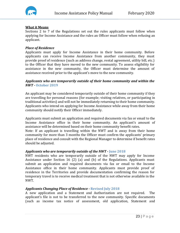

#### **What it Means**

Sections 2 to 7 of the Regulations set out the rules applicants must follow when applying for Income Assistance and the rules an Officer must follow when refusing an applicant.

#### *Place of Residence*

Applicants must apply for Income Assistance in their home community. Before applicants can receive Income Assistance from another community, they must provide proof of residence (such as address change, rental agreement, utility bill, etc.) to the Officer that they have moved to the new community. To assess eligibility for assistance in the new community, the Officer must determine the amount of assistance received prior to the applicant's move to the new community.

#### *Applicants who are temporarily outside of their home community and within the NWT* **- October 2019**

An applicant may be considered temporarily outside of their home community if they are travelling for personal reasons (for example; visiting relatives, or participating in traditional activities) and will not be immediately returning to their home community. Applicants who intend on applying for Income Assistance while away from their home community should notify their Officer immediately.

Applicants must submit an application and required documents via fax or email to the Income Assistance office in their home community. An applicant's amount of assistance will be determined based on their home community benefit rates.

Note: If an applicant is travelling within the NWT and is away from their home community for more than 3 months the Officer must confirm the applicants' primary place of residence and consult with the Regional Manager to determine if benefit rates should be adjusted.

#### *Applicants who are temporarily outside of the NWT* **- June 2018**

NWT residents who are temporarily outside of the NWT may apply for Income Assistance under Section 16 (2) (a) and (b) of the Regulations. Applicants must submit an application and required documents via fax or email to the Income Assistance office in their home community. Applicants must provide proof of residence in the Territories and provide documentation confirming the reason for temporary travel is to receive medical treatment that is not otherwise available in the NWT.

#### *Applicants Changing Place of Residence -* **Revised July 2018**

A new application and a Statement and Authorization are not required. The applicant's file is not to be transferred to the new community. Specific documents (such as income tax notice of assessment, old application, Statement and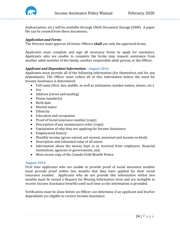

Authorization, etc.) will be available through CMAS Document Storage (DSM). A paper file can be created from these documents.

## *Application and Forms*

The Director must approve all forms. Officers **shall** use only the approved forms.

Applicants must complete and sign all necessary forms to apply for assistance. Applicants who are unable to complete the forms may request assistance from another adult member of the family, another responsible adult person, or the Officer.

# *Applicant and Dependant Information -* **August 2016**

Applicants must provide all of the following information (for themselves and for any dependants). The Officer must collect all of this information before the need for Income Assistance is determined:

- Full name (first, last, middle, as well as nicknames, maiden names, aliases, etc.)
- Sex
- Address (street and mailing)
- Phone number(s)
- Birth date
- Marital status
- Ethnicity
- Education and occupation
- Proof of Social insurance number (copy)
- Description of any maintenance order (copy)
- Explanation of why they are applying for Income Assistance
- Employment history
- Monthly income (gross earned, net earned, unearned and income-in-kind)
- Description and estimated value of all assets
- Information about the money kept in or received from employers, financial institutions, agencies or governments, and,
- Most recent copy of the Canada Child Benefit Notice

#### **August 2016**

First time applicants who are unable to provide proof of social insurance number must provide proof within two months that they have applied for their social insurance number. Applicants who do not provide this information within two months must be issued a Request for Missing Information form and are ineligible to receive Income Assistance benefits until such time as the information is provided.

Verification must be done before an Officer can determine if an applicant and his/her dependants are eligible to receive Income Assistance.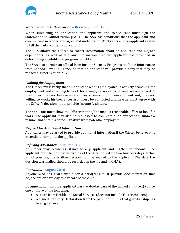

# *Statement and Authorization –* **Revised June 2017**

When submitting an application, the applicant and co-applicant must sign the Statement and Authorization (SAA). The SAA has conditions that the applicant and co-applicant must declare, agree and understand. Applicants and co-applicants agree to tell the truth on their application.

The SAA allows the Officer to collect information about an applicant and his/her dependants, as well as use any information that the applicant has provided in determining eligibility for program benefits.

The SAA also permits an official from Income Security Programs to obtain information from Canada Revenue Agency or that an applicant will provide a copy that may be redacted as per Section 2.12.

#### *Looking for Employment*

The Officer must verify that an applicant who is employable is actively searching for employment and is willing to work for a wage, salary or to become self-employed. If the Officer does not believe an applicant is searching for employment and/or is not willing to work, his/her Supervisor must be contacted and he/she must agree with the Officer's decision not to provide Income Assistance.

The applicant must show the Officer that he/she made a reasonable effort to look for work. The applicant may also be requested to complete a job application, submit a resume and obtain a dated signature from potential employers.

#### *Request for Additional Information*

Applicants may be asked to provide additional information if the Officer believes it is essential to complete the application.

#### *Refusing Assistance -* **August 2016**

An Officer may refuse assistance to any applicant and his/her dependants. The applicant must be notified in writing of the decision within two business days. If that is not possible, the written decision will be mailed to the applicant. The date the decision was mailed should be recorded in the file and in CMAS.

#### *Guardians -* **August 2016**

Anyone who has guardianship for a child(ren) must provide documentation that he/she are or have day to day care of the child

Documentation that the applicant has day-to-day care of the named child(ren) can be one or more of the following:

- A letter from Health and Social Services (does not include Foster children)
- A signed Statutory Declaration from the parent outlining that guardianship has been given over.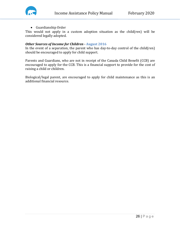



• Guardianship Order

This would not apply in a custom adoption situation as the child(ren) will be considered legally adopted.

# *Other Sources of Income for Children -* **August 2016**

In the event of a separation, the parent who has day-to-day control of the child(ren) should be encouraged to apply for child support.

Parents and Guardians, who are not in receipt of the Canada Child Benefit (CCB) are encouraged to apply for the CCB. This is a financial support to provide for the cost of raising a child or children.

Biological/legal parent, are encouraged to apply for child maintenance as this is an additional financial resource.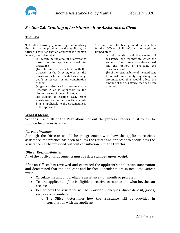

# <span id="page-27-0"></span>*Section 2.6: Granting of Assistance – How Assistance is Given*

## **The Law**

9. If, after thoroughly reviewing and verifying the information provided by the applicant, an Officer is satisfied that an applicant is a person in need, the Officer shall

(a) determine the amount of assistance based on the applicant's need for assistance;

(b) determine, in accordance with the direction of the Director, whether the assistance is to be provided as money, goods or services, or any combination of them;

(c) grant assistance in accordance with Schedule A as is applicable to the circumstances of the applicant; and

(d) subject to section 13.1, grant assistance in accordance with Schedule B as is applicable to the circumstances of the applicant.

10**.** If assistance has been granted under section 9, the Officer shall inform the applicant immediately

> (a) of the kind and the amount of assistance, the manner in which the amount of assistance was determined and the method of providing the assistance; and

(b) of the responsibility of the applicant to report immediately any change in circumstances that would affect the amount of the assistance that has been granted.

# **What it Means**

Sections 9 and 10 of the Regulations set out the process Officers must follow to provide Income Assistance.

#### *Current Practice*

Although the Director should be in agreement with how the applicant receives assistance, the practice has been to allow the Officer and applicant to decide how the assistance will be provided, without consultation with the Director.

#### *Officer Responsibilities*

All of the applicant's documents must be date stamped upon receipt.

After an Officer has reviewed and examined the applicant's application information and determined that the applicant and his/her dependants are in need, the Officer must:

- Calculate the amount of eligible assistance (full month or prorated)
- Tell the applicant he/she is eligible to receive assistance and what he/she can receive
- Decide how the assistance will be provided cheques, direct deposit, goods, services or a combination
	- o The Officer determines how the assistance will be provided in consultation with the applicant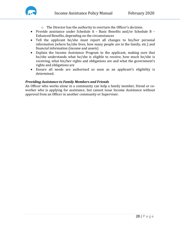

- o The Director has the authority to overturn the Officer's decision.
- Provide assistance under Schedule A Basic Benefits and/or Schedule B Enhanced Benefits, depending on the circumstances
- Tell the applicant he/she must report all changes to his/her personal information (where he/she lives, how many people are in the family, etc.) and financial information (income and assets)
- Explain the Income Assistance Program to the applicant, making sure that he/she understands what he/she is eligible to receive, how much he/she is receiving, what his/her rights and obligations are and what the government's rights and obligations are
- Ensure all needs are authorised as soon as an applicant's eligibility is determined.

#### *Providing Assistance to Family Members and Friends*

An Officer who works alone in a community can help a family member, friend or coworker who is applying for assistance, but cannot issue Income Assistance without approval from an Officer in another community or Supervisor.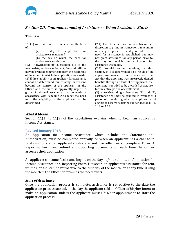

# <span id="page-29-0"></span>*Section 2.7: Commencement of Assistance – When Assistance Starts*

# **The Law**

11. (1) Assistance must commence on the later of

(a) the day the application for assistance is made; and

(b) the day on which the need for assistance is established.

(1.1) Notwithstanding subsection (1), if the need exists, assistance for rent, fuel and utilities may be granted commencing from the beginning of the month in which the application was made. (2) If the eligibility of an applicant for assistance cannot be determined immediately for reasons beyond the control of the applicant or the Officer and the need is apparently urgent, a grant of minimal assistance may be made in accordance with Schedule A to meet the need until the eligibility of the applicant can be determined.

(2.1) The Director may exercise his or her discretion to grant assistance for a maximum of one year prior to the day on which the need for assistance is established, but may not grant assistance for any period prior to the day on which the application for assistance was made. (2.2) Notwithstanding anything in this

section, if it is determined as a result of an appeal commenced in accordance with the Act that the applicant was incorrectly denied benefits through no fault of the applicant, the applicant is entitled to be awarded assistance for the entire period of entitlement.

(3) Notwithstanding subsections (1) and (2), assistance shall not be granted in respect of a period of time during which an applicant is not eligible to receive assistance under sections1.11, 1.12 or 1.13.

#### **What it Means**

Section 11(1) to 11(3) of the Regulations explains when to begin an applicant's Income Assistance.

#### **Revised January 2018**

An Application for Income Assistance, which includes the Statement and Authorization, must be completed annually, or when an applicant has a change in relationship status. Applicants who are not payrolled must complete Form A Reporting Form and submit all supporting documentation each time the Officer assesses their application.

An applicant's Income Assistance begins on the day he/she submits an Application for Income Assistance or a Reporting Form. However, an applicant's assistance for rent, utilities, or fuel can be retroactive to the first day of the month, or at any time during the month, if the Officer determines the need exists.

#### *Start of Assistance*

Once the application process is complete, assistance is retroactive to the date the application process started, or the day the applicant told an Officer of his/her intent to make an application, unless the applicant misses his/her appointment to start the application process.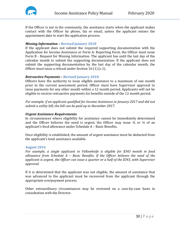

If the Officer is not in the community, the assistance starts when the applicant makes contact with the Officer by phone, fax or email, unless the applicant misses the appointment date to start the application process.

## *Missing Information –* **Revised January 2018**

If the applicant does not submit the required supporting documentation with the Application for Income Assistance or Form A- Reporting Form, the Officer must issue Form B - Request for Missing Information. The applicant has until the last day of the calendar month to submit the supporting documentation. If the applicant does not submit the supporting documentation by the last day of the calendar month, the Officer must issue a refusal under Section 16 (1) (c.1).

# *Retroactive Payments –* **Revised January 2018**

Officers have the authority to issue eligible assistance to a maximum of one month prior to the current assessment period. Officer must have Supervisor approval to issue payments for any other month within a 12 month period. Applicants will not be eligible to receive retroactive payments for benefits outside of the 12 month period.

*For example, if an applicant qualified for Income Assistance in January 2017 and did not submit a utility bill, the bill can be paid up to December 2017.*

# *Urgent Assistance Requirements*

In circumstances where eligibility for assistance cannot be immediately determined and the Officer believes the need is urgent, the Officer may issue  $\frac{1}{4}$  or  $\frac{1}{2}$  of an applicant's food allowance under Schedule A – Basic Benefits.

Once eligibility is established, the amount of urgent assistance must be deducted from the applicant's total assistance available.

#### **August 2016**

*For example, a single applicant in Yellowknife is eligible for \$343 month in food allowance from Schedule A – Basic Benefits. If the Officer believes the need of the applicant is urgent, the Officer can issue a quarter or a half of the \$343, with Supervisor approval.*

If it is determined that the applicant was not eligible, the amount of assistance that was advanced to the applicant must be recovered from the applicant through the appropriate overpayment process.

Other extraordinary circumstances may be reviewed on a case-by-case basis in consultation with the Director.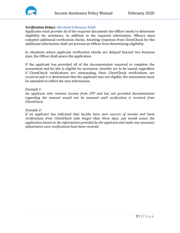

## *Verification Delays –***Revised February 2020**

Applicants must provide all of the required documents the Officer needs to determine eligibility for assistance. In addition to the required information, Officers must complete additional verification checks. Awaiting responses from ClientCheck for this additional information shall not prevent an Officer from determining eligibility.

In situations where applicant verification checks are delayed beyond two business days, the Officer shall assess the application.

If the applicant has provided all of the documentation required to complete the assessment and he/she is eligible for assistance, benefits are to be issued, regardless if ClientCheck verifications are outstanding. Once ClientCheck verifications are received and it is determined that the applicant was not eligible, the assessment must be amended to reflect the new information.

#### *Example 1:*

*An applicant who receives income from CPP and has not provided documentation regarding the amount would not be assessed until verification is received from ClientCheck.*

#### *Example 2:*

*If an applicant has indicated that he/she have zero sources of income and bank verifications from ClientCheck take longer than three days, you would assess the application based on the information provided by the applicant and make any necessary adjustments once verifications have been received.*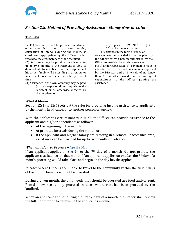

# <span id="page-32-0"></span>*Section 2.8: Method of Providing Assistance – Money Now or Later*

## **The Law**

12. (1) Assistance shall be provided in advance either monthly or on a *pro rata* monthly calculation at intervals during the month, as considered appropriate by the Officer having regard to the circumstances of the recipient.

(2) Assistance may be provided in advance for up to two months if the recipient is able to demonstrate to an Officer that the recipient and his or her family will be residing in a remote or inaccessible location for an extended period of time.

(3) Assistance in the form of money may be paid (a) by cheque or direct deposit to the recipient or as otherwise directed by the recipient; or

(b) Repealed, R-096-2001, s.10 (1). (c) by cheque to a trustee. (3.1) Assistance in the form of goods or services may be provided to the recipient by the Officer or by a person authorized by the Officer to provide the goods or services. (4) If, under subsection (3), payment is made to a trustee the trustee shall, in a manner approved by the Director and at intervals of no longer than 12 months, provide an accounting of expenditures to the Officer granting the assistance.

#### **What it Means**

Section 12(1) to 12(4) sets out the rules for providing Income Assistance to applicants by the month, in advance, or to another person or agency.

With the applicant's circumstances in mind, the Officer can provide assistance to the applicant and his/her dependants as follows:

- At the beginning of the month
- At prorated intervals during the month, or
- If the applicant and his/her family are residing in a remote, inaccessible area, assistance can be provided for up to two months in advance

#### *When and How to Prorate –* **April 2014**

If an applicant applies on the 1st to the 7th day of a month, **do not** prorate the applicant's assistance for that month. If an applicant applies on or after the 8th day of a month, prorating would take place and begin on the day he/she applied.

In cases where Officers are unable to travel to the community within the first 7 days of the month, benefits will not be prorated.

During a given month, the only needs that should be prorated are food and/or rent. Rental allowance is only prorated in cases where rent has been prorated by the landlord.

When an applicant applies during the first 7 days of a month, the Officer shall review the full month prior to determine the applicant's income.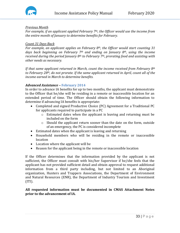

# *Previous Month*

*For example, if an applicant applied February 7th, the Officer would use the income from the entire month of January to determine benefits for February.*

# *Count 31 Days Back*

*For example, an applicant applies on February 8th, the Officer would start counting 31 days back beginning on February 7th and ending on January 8th, using the income received during the period January 8th to February 7th, prorating food and assisting with other needs as necessary.*

*If that same applicant returned in March, count the income received from February 8th to February 28th, do not prorate. If the same applicant returned in April, count all of the income earned in March to determine benefits.*

# *Advanced Assistance –* **February 2014**

In order to advance IA benefits for up to two months, the applicant must demonstrate to the Officer that he/she will be residing in a remote or inaccessible location for an extended period of time. The Officer should obtain the following information to determine if advancing IA benefits is appropriate:

- Completed and signed Productive Choice (PC) Agreement for a Traditional PC for applicants required to participate in a PC
	- o Estimated dates when the applicant is leaving and returning must be included on the form
	- o Should the applicant return sooner than the date on the form, outside of an emergency, the PC is considered incomplete
- Estimated dates when the applicant is leaving and returning
- Household members who will be residing in the remote or inaccessible location
- Location where the applicant will be
- Reason for the applicant being in the remote or inaccessible location

If the Officer determines that the information provided by the applicant is not sufficient, the Officer must consult with his/her Supervisor if he/she feels that the applicant has not provided sufficient detail and obtain approval to request additional information from a third party including, but not limited to an Aboriginal organization, Hunters and Trappers Associations, the Department of Environment and Natural Resources (ENR), the Department of Industry Tourism and Investment  $(ITI).$ 

# **All requested information must be documented in CMAS Attachment Notes prior to the advancement of IA.**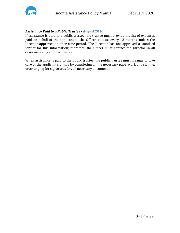

#### *Assistance Paid to a Public Trustee -* **August 2016**

If assistance is paid to a public trustee, the trustee must provide the list of expenses paid on behalf of the applicant to the Officer at least every 12 months, unless the Director approves another time-period. The Director has not approved a standard format for this information; therefore, the Officer must contact the Director in all cases involving a public trustee.

When assistance is paid to the public trustee, the public trustee must arrange to take care of the applicant's affairs by completing all the necessary paperwork and signing, or arranging for signatures for, all necessary documents.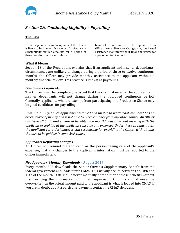

# <span id="page-35-0"></span>*Section 2.9: Continuing Eligibility – Payrolling*

# **The Law**

13. A recipient who, in the opinion of the Officer is likely to be in monthly receipt of assistance in substantially similar amounts for a period of three months or more and whose

financial circumstances, in the opinion of an Officer, are unlikely to change, may be issued assistance monthly without financial review for a period up to 12 months.

#### **What it Means**

Section 13 of the Regulations explains that if an applicant and his/her dependants' circumstances are unlikely to change during a period of three to twelve continuous months, the Officer may provide monthly assistance to the applicant without a monthly financial review. This practice is known as payrolling.

#### *Continuous Payments*

The Officer must be completely satisfied that the circumstances of the applicant and his/her dependants will not change during the approved continuous period. Generally, applicants who are exempt from participating in a Productive Choice may be good candidates for payrolling.

*Example, a 25-year-old applicant is disabled and unable to work. That applicant has no other source of money and is not able to receive money from any other source. An Officer can issue all basic and enhanced benefits on a monthly basis without meeting with the applicant or looking at the applicant's income and expenses. Under these circumstances, the applicant (or a designate) is still responsible for providing the Officer with all bills that are to be paid by Income Assistance.* 

#### *Applicants Reporting Changes*

An Officer will remind the applicant, or the person taking care of the applicant's expenses, that any changes to the applicant's information must be reported to the Officer immediately.

#### *Headquarters' Monthly Downloads -* **August 2016**

Every month, ECE downloads the Senior Citizen's Supplementary Benefit from the federal government and loads it into CMAS. This usually occurs between the 10th and 15th of the month. Staff should never manually enter either of these benefits without first verifying the information with their supervisor. Amounts should never be overwritten, as the actual amount paid to the applicant is what is loaded into CMAS. If you are in doubt about a particular payment contact the CMAS Helpdesk.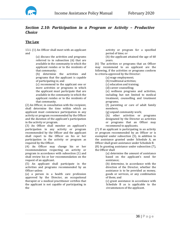

# *Section 2.10: Participation in a Program or Activity – Productive Choice*

## **The Law**

13.1. (1) An Officer shall meet with an applicant and

> (a) discuss the activities and programs referred to in subsection (6) that are available in the community in which the applicant resides or to the residents of that community;

> (b) determine the activities and programs that the applicant is capable of participating in; and

> (c) recommend to the applicant one or more activities or programs in which the applicant must participate that are available in the community in which the applicant resides or to the residents of that community.

(2) An Officer, in consultation with the recipient, shall determine the time within which an applicant must commence participation in any activity or program recommended by the Officer and the duration of the applicant's participation in the activity or program.

(3) An Officer shall monitor an applicant's participation in any activity or program recommended by the Officer and the applicant shall report to the Officer on his or her participation in the activity or program as required by the Officer.

(4) An Officer may change his or her recommendation respecting an activity or program in accordance with subsection (1) and shall review his or her recommendation on the request of an applicant.

(5) An applicant shall participate in the activities and programs recommended by an Officer unless

(a) a person in a health care profession approved by the Director, an occupational therapist or a medical practitioner certifies that the applicant is not capable of participating in the

activity or program for a specified period of time; or

(b) the applicant attained the age of 60 years.

(6) The activities or programs that an Officer may recommend to an applicant are the following, if the activities or programs conform to criteria approved by the Director:

(a) wage employment;

(b) traditional activities;

(c) education and training;

(d) career counselling;

(e) wellness programs and activities, including but not limited to medical treatment, counselling and treatment programs;

(f) parenting or care of adult family members;

(g) unpaid community work;

(h) other activities or programs designated by the Director as activities or programs that an Officer may recommend to applicants.

(7) If an applicant is participating in an activity or program recommended by an Officer or is exempted under subsection (5), in addition to the assistance granted under Schedule A, an Officer shall grant assistance under Schedule B.

(8) In granting assistance under subsection (7), the Officer shall

(a) determine the amount of assistance based on the applicant's need for assistance;

(b) determine, in accordance with the direction of the Director, whether the assistance is to be provided as money, goods or services, or any combination of them; and

(c) grant assistance in accordance with Schedule B as is applicable to the circumstances of the applicant.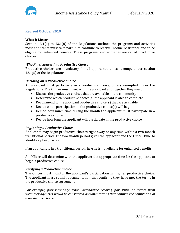

## **Revised October 2019**

## **What it Means**

Section 13.1(1) to 13.1(8) of the Regulations outlines the programs and activities most applicants must take part in to continue to receive Income Assistance and to be eligible for enhanced benefits. These programs and activities are called productive choices.

#### *Who Participates in a Productive Choice*

Productive choices are mandatory for all applicants, unless exempt under section 13.1(5) of the Regulations.

## *Deciding on a Productive Choice*

An applicant must participate in a productive choice, unless exempted under the Regulations. The Officer must meet with the applicant and together they must:

- Discuss the productive choices that are available in the community
- Determine which productive choice(s) the applicant is able to complete
- Recommend to the applicant productive choice(s) that are available
- Decide when participation in the productive choice(s) will begin
- Decide how much time during the month the applicant must participate in a productive choice
- Decide how long the applicant will participate in the productive choice

## *Beginning a Productive Choice*

Applicants may begin productive choices right away or any time within a two-month transitional period. The two-month period gives the applicant and the Officer time to identify a plan of action.

If an applicant is in a transitional period, he/she is not eligible for enhanced benefits.

An Officer will determine with the applicant the appropriate time for the applicant to begin a productive choice.

#### *Verifying a Productive Choice*

The Officer must monitor the applicant's participation in his/her productive choice. The applicant must submit documentation that confirms they have met the terms in the productive choice agreement.

*For example, post-secondary school attendance records, pay stubs, or letters from volunteer agencies would be considered documentations that confirm the completion of a productive choice.*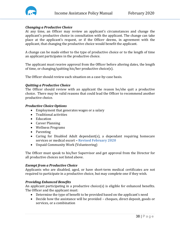

# *Changing a Productive Choice*

At any time, an Officer may review an applicant's circumstances and change the applicant's productive choice in consultation with the applicant. The change can take place at the applicant's request, or if the Officer deems, in agreement with the applicant, that changing the productive choice would benefit the applicant.

A change can be made either to the type of productive choice or to the length of time an applicant participates in the productive choice.

The applicant must receive approval from the Officer before altering dates, the length of time, or changing/quitting his/her productive choice(s).

The Officer should review each situation on a case-by-case basis.

#### *Quitting a Productive Choice*

The Officer should review with an applicant the reason he/she quit a productive choice. There may be valid reasons that could lead the Officer to recommend another productive choice.

#### *Productive Choice Options*

- Employment that generates wages or a salary
- Traditional activities
- Education
- Career Planning
- Wellness Programs
- Parenting
- Caring for Disabled Adult dependant(s), a dependant requiring homecare services or medical escort *–* **Revised February 2020**
- Unpaid Community Work (Volunteering)

The Officer must speak to his/her Supervisor and get approval from the Director for all productive choices not listed above.

## *Exempt from a Productive Choice*

Applicants who are disabled, aged, or have short-term medical certificates are not required to participate in a productive choice, but may complete one if they wish.

## *Providing Enhanced Benefits*

An applicant participating in a productive choice(s) is eligible for enhanced benefits. The Officer and the applicant must:

- Determine the type of benefit to be provided based on the applicant's need
- Decide how the assistance will be provided cheques, direct deposit, goods or services, or a combination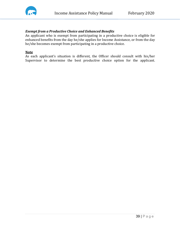

# *Exempt from a Productive Choice and Enhanced Benefits*

An applicant who is exempt from participating in a productive choice is eligible for enhanced benefits from the day he/she applies for Income Assistance, or from the day he/she becomes exempt from participating in a productive choice.

#### **Note**

As each applicant's situation is different, the Officer should consult with his/her Supervisor to determine the best productive choice option for the applicant.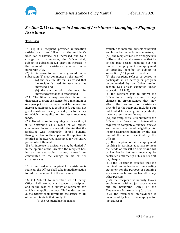

# *Section 2.11: Changes in Amount of Assistance – Changing or Stopping Assistance*

## **The Law**

14. (1) If a recipient provides information satisfactory to an Officer that the recipient's need for assistance has increased due to a change in circumstances, the Officer shall, subject to subsection (3), grant an increase in the amount of assistance granted under paragraph 9(c).

(2) An increase to assistance granted under subsection (1) must commence on the later of

(a) the day the Officer is advised that the recipient's need for assistance has increased; and

(b) the day on which the need for increased assistance is established.

(2.1) The Director may exercise his or her discretion to grant assistance for a maximum of one year prior to the day on which the need for increased assistance is established, but may not grant assistance for any period prior to the day on which the application for assistance was made.

(2.2) Notwithstanding anything in this section, if it is determine as a result of an appeal commenced in accordance with the Act that the applicant was incorrectly denied benefits through no fault of the applicant, the applicant is entitled to be awarded assistance for the entire period of entitlement.

(3) An increase in assistance may be denied if, in the opinion of the Director, the recipient has, in an unreasonable manner, caused or contributed to the change in his or her circumstances.

15. If the need of a recipient for assistance is reduced, the Officer shall take immediate action to reduce the amount of the assistance.

16. (1) Subject to subsection (1.01), every Officer shall terminate assistance to a recipient and in the case of a family of recipients for which one application was filled under section 3, the Officer shall terminate assistance to all other recipients in that family, if

(a) the recipient has the means

available to maintain himself or herself and his or her dependants adequately; (a.1) the recipient refuses or neglects to utilize all the financial resources that he or she may access including but not

limited to employment, unemployment or disability benefits or, subject to subsection (1.1), pension benefits;

(b) the recipient refuses or ceases to participate in an activity or program recommended by an Officer under section 13.1 unless exempted under subsection 13.1(5);

(c) the recipient fails to inform the Officer in a timely manner of any changes in circumstances that may affect the amount of assistance provided to the recipient, including but not limited to a change in dependents, income, assets or residence;

(c.1) the recipient fails to submit to the Officer the forms and information required to complete a financial review and assess continued eligibility for income assistance benefits by the last day of the month specified by the Officer;

(d) the recipient obtains employment resulting in earnings adequate to meet the needs of himself or herself and his or her family, but assistance may be continued until receipt of his or her first pay cheque;

(d.1) the Director is satisfied that the recipient has made a false or misleading statement for the purpose of obtaining assistance for himself or herself or any other person;

(d.2) the recipient voluntarily leaves employment without just cause as set out in paragraph 29(c) of the *Employment Insurance Act* (Canada);

(d.3) the recipient's employment is terminated by his or her employer for just cause; or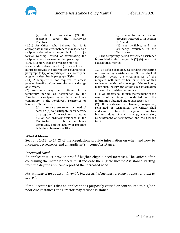

(e) subject to subsection (2), the recipient leaves Territories.

(1.01) An Officer who believes that it is appropriate in the circumstances may issue to a recipient referred to in paragraph (1)(b) or (c) a formal warning instead of terminating the recipient's assistance under that paragraph.

(1.02) No more than one warning may be issued under subsection (1.01) in respect of a failure to provide the information referred to in paragraph (1)(c) or to participate in an activity or program as described in paragraph (1)(b).

(1.1) A recipient is not required to access pension benefits before he or she attains the age of 65 years.

(2) Assistance may be continued for a temporary period, as determined by the Director, if a recipient leaves his or her home community in the Northwest Territories or leaves the Territories;

> (a) to receive treatment or medical care; or (b) to participate in an activity or program, if the recipient maintains his or her ordinary residence in the Territories or in his or her home community and the activity or program is, in the opinion of the Director,

(i) similar to an activity or program referred to in section 13.1; and

(ii) not available, and not ordinarily available, in the Territories.

(3) The temporary period for which assistance is provided under paragraph (2) (b) must not exceed three months

17. (1) Before changing, suspending, reinstating or terminating assistance, an Officer shall, if possible, review the circumstances of the recipient with him or her, or in lieu of this review and with the knowledge of the recipient, make such inquiry and obtain such information as he or she considers necessary.

(1.1) An officer shall inform the recipient of the results of an inquiry conducted and the information obtained under subsection (1).

(2) If assistance is changed, suspended, reinstated or terminated, the Officer shall endeavor to inform the recipient within two business days of such change, suspension, reinstatement or termination and the reasons for it.

#### **What it Means**

Sections 14(1) to 17(2) of the Regulations provide information on when and how to increase, decrease, or end an applicant's Income Assistance.

#### *Increased Need*

An applicant must provide proof if his/her eligible need increases. The Officer, after confirming the increased need, must increase the eligible Income Assistance starting from the day the applicant reported the increased need.

*For example, if an applicant's rent is increased, he/she must provide a report or a bill to prove it.*

If the Director feels that an applicant has purposely caused or contributed to his/her poor circumstances, the Director may refuse assistance.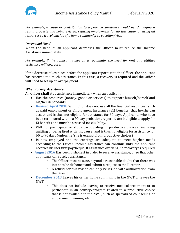

*For example, a cause or contribution to a poor circumstance would be: damaging a rental property and being evicted, refusing employment for no just cause, or using all resources to travel outside of a home community to vacation/visit.*

#### *Decreased Need*

When the need of an applicant decreases the Officer must reduce the Income Assistance immediately.

*For example, if the applicant takes on a roommate, the need for rent and utilities assistance will decrease.*

If the decrease takes place before the applicant reports it to the Officer, the applicant has received too much assistance. In this case, a recovery is required and the Officer will need to set up an overpayment.

#### *When to Stop Assistance*

An Officer **shall** stop assistance immediately when an applicant:

- Has the resources (money, goods or services) to support himself/herself and his/her dependants
- **Revised April 2018** Will not or does not use all the financial resources (such as paid employment or Employment Insurance (EI) benefits) that he/she can access and is thus not eligible for assistance for 60 days. Applicants who have been terminated within a 90 day probationary period are ineligible to apply for EI benefits and must be assessed for eligibility.
- Will not participate, or stops participating in productive choices (including quitting or being fired with just cause) and is thus not eligible for assistance for 60 to 90 days (unless he/she is exempt from productive choices)
- Is now employed and the earnings are adequate to meet his/her needs according to the Officer. Income assistance can continue until the applicant receives his/her first paycheque. If assistance overlaps, no recovery is required
- **August 2016** Has been dishonest in order to receive assistance, or so that other applicants can receive assistance.
	- o The Officer must be sure, beyond a reasonable doubt, that there was intent to be dishonest and submit a request to the Director.
	- o A refusal for this reason can only be issued with authorization from the Director.
- **December 2013** Leaves his or her home community in the NWT or leaves the NWT.
	- o This does not include leaving to receive medical treatment or to participate in an activity/program related to a productive choice that is not available in the NWT, such as specialized counselling or employment training, etc.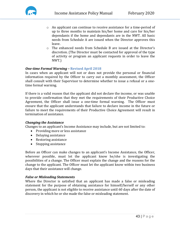

- o An applicant can continue to receive assistance for a time-period of up to three months to maintain his/her home and care for his/her dependants if the home and dependants are in the NWT. All basic needs from Schedule A are issued when the Director approves this leave.
- o The enhanced needs from Schedule B are issued at the Director's discretion. (The Director must be contacted for approval of the type of activity or program an applicant requests in order to leave the NWT.)

# *One-time Formal Warning –* **Revised April 2018**

In cases when an applicant will not or does not provide the personal or financial information required by the Officer to carry out a monthly assessment, the Officer shall consult with their Supervisor to determine whether to issue a refusal or a onetime formal warning.

If there is a valid reason that the applicant did not declare the income, or was unable to provide confirmation that they met the requirements of their Productive Choice Agreement, the Officer shall issue a one-time formal warning. The Officer must ensure that the applicant understands that failure to declare income in the future or failure to meet the requirements of their Productive Choice Agreement will result in termination of assistance.

## *Changing the Assistance*

Changes to an applicant's Income Assistance may include, but are not limited to:

- Providing more or less assistance
- Delaying assistance
- Restoring assistance
- Stopping assistance

Before an Officer can make changes to an applicant's Income Assistance, the Officer, wherever possible, must let the applicant know he/she is investigating the possibilities of a change. The Officer must explain the change and the reasons for the change to the applicant. The Officer must let the applicant know within two business days that their assistance will change.

## *False or Misleading Statements*

Where the Director is satisfied that an applicant has made a false or misleading statement for the purpose of obtaining assistance for himself/herself or any other person, the applicant is not eligible to receive assistance until 60 days after the date of discovery in which he or she made the false or misleading statement.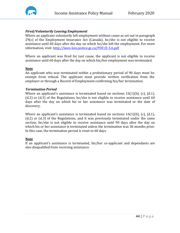

# *Fired/Voluntarily Leaving Employment*

Where an applicant voluntarily left employment without cause as set out in paragraph 29(c) of the Employment Insurance Act (Canada), he/she is not eligible to receive assistance until 60 days after the day on which he/she left the employment. For more information, visit[: http://laws-lois.justice.gc.ca/PDF/E-5.6.pdf](http://laws-lois.justice.gc.ca/PDF/E-5.6.pdf)

Where an applicant was fired for just cause, the applicant is not eligible to receive assistance until 60 days after the day on which his/her employment was terminated.

#### **Note**

An applicant who was terminated within a probationary period of 90 days must be exempt from refusal. The applicant must provide written verification from the employer or through a Record of Employment confirming his/her termination.

#### *Termination Period*

Where an applicant's assistance is terminated based on sections  $16(1)(b)$ , (c), (d.1), (d.2) or (d.3) of the Regulations, he/she is not eligible to receive assistance until 60 days after the day on which his or her assistance was terminated or the date of discovery.

Where an applicant's assistance is terminated based on sections 16(1)(b), (c), (d.1), (d.2) or (d.3) of the Regulations, and it was previously terminated under the same section, he/she is not eligible to receive assistance until 90 days after the day on which his or her assistance is terminated unless the termination was 36 months prior. In this case, the termination period is reset to 60 days.

## **Note**

If an applicant's assistance is terminated, his/her co-applicant and dependants are also disqualified from receiving assistance.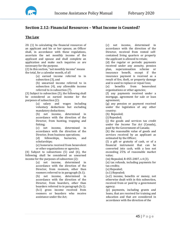

# **Section 2.12: Financial Resources – What Income is Counted?**

## **The Law**

20. (1) In calculating the financial resources of an applicant and his or her spouse, an Officer shall, in accordance with these regulations, ascertain the net monthly income of the applicant and spouse and shall complete an application and make such inquiries as are necessary for the purpose.

(2) In this section, "net monthly income" means the total, for a calendar month, of all

(a) earned income referred to in subsection (3), and

(b) unearned income referred to in subsection (4), any allowable income referred to in subsection (7).

(3) Subject to subsection (5), the following shall be considered as earned income for the purposes of subsection (2):

(a) salary and wages including voluntary deductions but excluding mandatory deductions;

(b) net income, determined in accordance with the direction of the Director, from hunting, trapping and fishing;<br>(c) ne

net income, determined in accordance with the direction of the Director, from business operations;<br>(d) fellowships, bursaries,

fellowships, bursaries, and scholarships;

(e) honoraria received from benevolent or other organizations or agencies.

(4) Subject to subsections (5) and (6), the following shall be considered as unearned income for the purposes of subsection (2):

(a) net income, determined in accordance with the direction of the Director, from roomers, other than roomers referred to in paragraph (b.1); (b) net income, determined in accordance with the direction of the Director, from boarders, other than boarders referred to in paragraph (b.1); (b.1) gross income received from roomers or boarders who receive assistance under the Act;

(c) net income, determined in accordance with the direction of the Director, received from rented selfcontained living quarters or property the applicant is allowed to retain;

(d) the regular or periodic payments received under any annuity, pension plan, superannuation scheme or insurance benefit, except if the insurance payment is received as a result of fire, theft, or property damage and is used to replace or repair loss;<br>(e) benefits from benevol

benevolent organizations or other agencies;

(f) any payments received under a mortgage, agreement for sale or loan agreement;

(g) any pension or payment received under the legislation of any other country;

(h) Repealed;

(i) Repealed;

(j) the goods and services tax credit under the *Income Tax Act* (Canada), paid by the Government of Canada;

(k) the reasonable value of goods and services received by an applicant as estimated by the Officer;

(l) a gift or gratuity of cash, or of a financial instrument that can be converted into cash, with a loss not exceeding 25% of reasonable market value;

(m) Repealed, R-055-2007, s.4 (3).

(n) tax refunds, including payments for tax credits;

(o) Repealed;

(o.1) Repealed;

(o.2) income, benefits or money, not otherwise dealt with in this subsection, received from or paid by a government agency;

(p) payments, including grants and loans, that are received for training and education and that are considered in accordance with the direction of the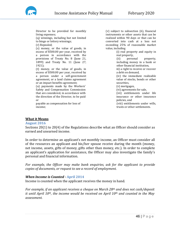

Director to be provided for monthly living expenses; (q) winnings, including but not limited to bingo or lottery winnings; (r) Repealed; (s) money, or the value of goods, in excess of \$500.00 per year, received by a person in accordance with the provisions of Treaty No. 8 (June 21, 1899) and Treaty No. 11 (June 27, 1921); (t) money, or the value of goods, in excess of \$500.00 per year, received by a person under a self-government agreement, or a land claims agreement or an impact benefits agreement; (u) payments made by the Workers' Safety and Compensation Commission that are considered, in accordance with the direction of the Director, to be paid or

payable as compensation for loss of income;

(v) subject to subsection (6), financial instruments or other assets that can be realized within 90 days or that can be converted into cash at a loss not exceeding 25% of reasonable market value, including

(i) real property and equity in real property,<br>(ii) personal

(ii) personal property, including money in a bank or other financial institution,

iii) a right to receive or recover a debt on demand,

(iv) the immediate realizable value of stocks, bonds or other securities,

(v) mortgages,

(vi) agreements for sale,

(vii) entitlements under life insurance or other insurance policies, and

(viii) entitlements under wills, trusts or other settlements.

## **What it Means**

#### **August 2016**

Sections 20(1) to 20(4) of the Regulations describe what an Officer should consider as earned and unearned income.

In order to determine an applicant's net monthly income, an Officer must consider all of the resources an applicant and his/her spouse receive during the month (money, net income, assets, gifts of money, gifts other than money, etc.). In order to complete an applicant's application for assistance, the Officer may also investigate the family's personal and financial information.

*For example, the Officer may make bank enquiries, ask for the applicant to provide copies of documents, or request to see a record of employment.*

## *When Income is Counted -* **April 2014**

Income is counted when the applicant receives the money in hand.

*For example, if an applicant receives a cheque on March 28th and does not cash/deposit it until April 10th, the income would be received on April 10th and counted in the May assessment.*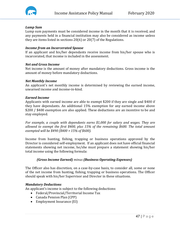

## *Lump Sum*

Lump sum payments must be considered income in the month that it is received, and any payments held in a financial institution may also be considered as income unless they are items listed in sections 20(6) or 20(7) of the Regulations.

#### *Income from an Incarcerated Spouse*

If an applicant and his/her dependants receive income from his/her spouse who is incarcerated, that income is included in the assessment.

#### *Net and Gross Income*

Net income is the amount of money after mandatory deductions. Gross income is the amount of money before mandatory deductions.

#### *Net Monthly Income*

An applicant's net monthly income is determined by reviewing the earned income, unearned income and income-in-kind.

#### *Earned Income*

Applicants with earned income are able to exempt \$200 if they are single and \$400 if they have dependants. An additional 15% exemption for any earned income above \$200 / \$400 exemption are also applied. These deductions are an incentive to be and stay employed.

*For example, a couple with dependants earns \$1,000 for salary and wages. They are allowed to exempt the first \$400, plus 15% of the remaining \$600. The total amount exempted will be \$490 (\$400 + 15% of \$600).*

Income from hunting, fishing, trapping or business operations approved by the Director is considered self-employment. If an applicant does not have official financial statements showing net income, he/she must prepare a statement showing his/her total income using the following formula:

## *(Gross Income Earned) minus (Business Operating Expenses)*

The Officer also has discretion, on a case-by-case basis, to consider all, some or none of the net income from hunting, fishing, trapping or business operations. The Officer should speak with his/her Supervisor and Director in these situations.

## *Mandatory Deductions*

An applicant's income is subject to the following deductions:

- Federal/Provincial/Territorial Income Tax
- Canada Pension Plan (CPP)
- Employment Insurance (EI)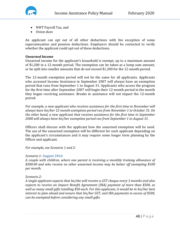



- NWT Payroll Tax, and
- Union dues

An applicant can opt out of all other deductions with the exception of some superannuation and pension deductions. Employers should be contacted to verify whether the applicant could opt out of these deductions.

## *Unearned Income*

Unearned income for the applicant's household is exempt, up to a maximum amount of \$1,200 in a 12-month period. The exemption can be taken as a lump sum amount, or be split into smaller amounts that do not exceed \$1,200 for the 12-month period.

The 12-month exemption period will not be the same for all applicants. Applicants who accessed Income Assistance in September 2007 will always have an exemption period that runs from September 1 to August 31. Applicants who access the program for the first time after September 2007 will begin their 12-month period in the month they began receiving assistance. Breaks in assistance will not impact the 12-month period.

*For example, a new applicant who receives assistance for the first time in November will always have his/her 12-month exemption period run from November 1 to October 31. On the other hand, a new applicant that receives assistance for the first time in September 2008 will always have his/her exemption period run from September 1 to August 31.*

Officers shall discuss with the applicant how the unearned exemption will be used. The use of the unearned exemption will be different for each applicant depending on the applicant's circumstances and it may require some longer term planning by the Officer and applicant.

*For example, see Scenario 1 and 2:*

## *Scenario 1:* **August 2016**

*A couple with children, where one parent is receiving a monthly training allowance of \$300.00 and who receive no other unearned income may be better off exempting \$100 per month.*

*Scenario 2:*

*A single applicant expects that he/she will receive a GST cheque every 3 months and also expects to receive an Impact Benefit Agreement (IBA) payment of more than \$500, as well as many small gifts totalling \$50 each. For this applicant, it would be in his/her best interest to plan ahead and ensure that his/her GST, and IBA payments in excess of \$500, can be exempted before considering any small gifts.*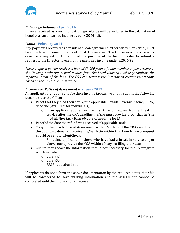

#### *Patronage Refunds -* **April 2014**

Income received as a result of patronage refunds will be included in the calculation of benefits as an unearned income as per S.20 (4)(d).

#### *Loans –* **February 2014**

Any payments received as a result of a loan agreement, either written or verbal, must be considered income in the month that it is received. The Officer may, on a case-bycase basis request confirmation of the purpose of the loan in order to submit a request to the Director to exempt the unearned income under s.20.(5)(e).

*For example, a person receives a loan of \$3,000 from a family member to pay arrears to the Housing Authority. A paid invoice from the Local Housing Authority confirms the reported intent of the loan. The CSO can request the Director to exempt this income based on the unusual circumstance.*

#### *Income Tax Notice of Assessment –* **January 2017**

All applicants are required to file their income tax each year and submit the following documents to the Officer:

- Proof that they filed their tax by the applicable Canada Revenue Agency (CRA) deadline (April 30th for individuals);
	- o If an applicant applies for the first time or returns from a break in service after the CRA deadline, he/she must provide proof that he/she filed his/her tax within 60 days of applying for IA
- Proof of the date the refund was received, if applicable, and;
- Copy of the CRA Notice of Assessment within 60 days of the CRA deadline. If the applicant does not receive his/her NOA within this time frame a request should be sent to ClientCheck.
	- o First time applicants or those who have had a break in service as per above, must provide the NOA within 60 days of filing their taxes
- Clients may redact the information that is not necessary for the IA program which include:
	- o Line 448
	- $\circ$  Line 450
	- o RRSP reduction limit

If applicants do not submit the above documentation by the required dates, their file will be considered to have missing information and the assessment cannot be completed until the information is received.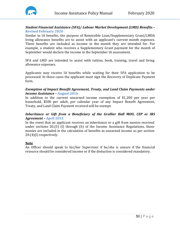

## *Student Financial Assistance (SFA)/ Labour Market Development (LMD) Benefits –* **Revised February 2020**

Similar to IA benefits, the purpose of Remissible Loan/Supplementary Grant/LMDA living allowance benefits are to assist with an applicant's current month expenses. These benefits are included as income in the month they are intended for. For example, a student who receives a Supplementary Grant payment for the month of September would declare the income in the September IA assessment.

SFA and LMD are intended to assist with tuition, book, training, travel and living allowance expenses.

Applicants may receive IA benefits while waiting for their SFA application to be processed. In these cases the applicant must sign the Recovery of Duplicate Payment form.

#### *Exemption of Impact Benefit Agreement, Treaty, and Land Claim Payments under Income Assistance –* **August 2016**

In addition to the current unearned income exemption of \$1,200 per year per household, \$500 per adult, per calendar year of any Impact Benefit Agreement, Treaty, and Land Claim Payment received will be exempt.

# *Inheritance or Gift from a Beneficiary of the Grollier Hall MOU, CEP or IRS Agreement –* **April 2015**

In the event that an applicant receives an inheritance or a gift from monies received under sections 20.(5) (f) through (h) of the Income Assistance Regulations, those monies are included in the calculation of benefits as unearned income as per section 20.(4)(l) respectively.

# **Note**

An Officer should speak to his/her Supervisor if he/she is unsure if the financial resource should be considered income or if the deduction is considered mandatory.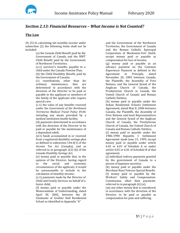

# *Section 2.13: Financial Resources – What Income is Not Counted?*

#### **The Law**

20. (5) In calculating net monthly income under subsection (2) the following items shall not be included:

> (a) the Canada Child Benefit paid by the Government of Canada and the NWT Child Benefit paid by the Government of Northwest Territories;

> (a.1) survivor's benefits payable to a child under the Canada Pension Plan;

> (b) the Child Disability Benefit, paid by the Government of Canada;

(c) contributions, other than for maintenance, determined in accordance with the direction of the Director to be paid or payable to the applicant or members of the family of the applicant who require special care;

(c.1) the value of any benefits received under the *Government of the Northwest Territories Medical Travel Policy 49.06.* including any meals provided by a medical institution health facility;

(d) payments determined in accordance with the direction of the Director to be paid or payable for the maintenance of a dependant adult;

(d.1) funds accumulated in or received from a registered disability savings plan as defined in subsection 146.4(1) of the *Income Tax Act* (Canada), and as referred to in paragraph 2(2) (b) of the *Canada Disability Savings Act;*

(e) money paid or payable that, in the opinion of the Director, having regard<br>to the social and economic to the social and economic circumstances of the applicant, it would be unreasonable to include in the calculation of monthly income;

(e.1) payments made by the Director of Child and Family Services on behalf of a foster child;

(f) money paid or payable under the Memorandum of Understanding, dated April 30, 2002, between the 28 Claimants of Grollier Hall Residential School as identified in Appendix "A"

and the Government of the Northwest Territories, the Government of Canada and the Roman Catholic Episcopal Corporation of Mackenzie-Fort Smith, except money paid or payable as compensation for loss of income;

(g) money paid or payable as an advance payment on the Common Experience Payment as defined in the<br>Agreement in Principle. dated Agreement in Principle, dated November 20, 2005 between Canada, the Plaintiffs, the Assembly of First Nations, and the General Synod of the Anglican Church of Canada, the Presbyterian Church in Canada, the United Church of Canada and Roman Catholic Entities;

(h) money paid or payable under the Indian Residential Schools Settlement Agreement, dated May 8, 2006 between Canada, the Plaintiffs, the Assembly of First Nations and Inuit Representatives and the General Synod of the Anglican Church of Canada, the Presbyterian Church of Canada, the United Church of Canada and Roman Catholic Entities;

(i) money paid or payable under the 1986-1990 Hepatitis C Settlement Agreement made June 15, 1999, except money paid or payable under article 4.02 or 6.01 of Schedule A or under article 4.02 or 6.01 of Schedule B of that agreement;

(j) individual redress payments granted by the government of Canada to a person of Japanese ancestry;

(k) money paid or payable under the Merchant Navy Veteran Special Benefit; (l) money paid or payable by the Workers' Safety and Compensation Commission, other than payments referred to in paragraph (4) (u);

(m) any other money that is considered, in accordance with the direction of the Director, to be paid or payable as compensation for pain and suffering.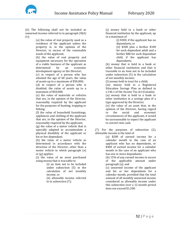



(6) The following shall not be included as unearned income referred to in paragraph 20(4) (v):

> (a) the value of real property used as a residence of the applicant unless the property is, in the opinion of the Director, in excess of the reasonable needs of the applicant;

(b) the value of real property and equipment necessary for the operation of a viable business of the applicant as<br>determined by an economic determined development agency or the Director;

(c) in respect of a person who has attained the age of 60 years, the value of assets up to a maximum of \$50,000;

(d) in respect of a person who is disabled, the value of assets up to a maximum of \$50,000;

(e) the value of materials or vehicles that are, in the opinion of the Director, reasonably required by the applicant for the purposes of hunting, trapping or fishing;

(f) the value of household furnishings, appliances and clothing of the applicant that are, in the opinion of the Director, reasonably required by the applicant;

(g) the value of a motor vehicle that is specially adapted to accommodate a physical disability of the applicant or his or her dependant;

(h) the value of a motor vehicle as determined in accordance with the direction of the Director, other than a motor vehicle to which paragraph (e) or (g) applies;

(i) the value of an asset purchased using money that is traceable to

> (i) an item not to be included under subsection (5) in the calculation of net monthly income, or

> (ii) allowable income referred to in subsection (7);

(j) money held in a bank or other financial institution by the applicant, up to a maximum of

(i) \$300, if the applicant has no dependants, or

(ii) \$300 plus a further \$100 for each dependant adult and a further \$80 for each dependant child, if the applicant has dependants;

(k) money that is held in a bank or other financial institution and that is traceable to an item not to be included under subsection (5) in the calculation of net monthly income;

(l) money held in trust for a child;

(m) money held in a Registered Education Savings Plan as defined in s.146.1 of the *Income Tax Act* (Canada); (n) money that is held in a bank or other institution in a savings plan of a type approved by the Director;

(o) the value of an asset that, in the opinion of the Director, having regard<br>to the social and economic economic circumstances of the applicant, it would be unreasonable to expect the applicant to convert into cash.

(7) For the purposes of subsection (2), allowable income is the total of

(a) \$200 of earned income for a calendar month in the case of an applicant who has no dependants, or \$400 of earned income for a calendar month in the case of an applicant who has one or more dependants;

(b) 15% of any earned income in excess of the applicable amount under paragraph (a); and

(c) unearned income of the applicant and his or her dependants for a calendar month, provided that the total amount of all monthly unearned income considered as allowable income under this subsection over a 12-month period does not exceed \$1,200.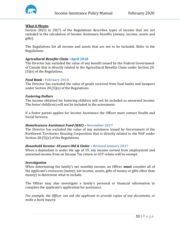

#### **What it Means**

Section 20(5) to 20(7) of the Regulations describes types of income that are not included in the calculation of Income Assistance benefits (money, income, assets and gifts).

The Regulations list all income and assets that are not to be included. Refer to the Regulations.

#### *Agricultural Benefits Claim –***April 2018**

The Director has excluded the value of any benefit issued by the Federal Government of Canada that is directly related to the Agricultural Benefits Claim under Section 20. (5)(e) of the Regulations.

#### *Food Bank -* **February 2014**

The Director has excluded the value of goods received from food banks and hampers under Section 20.(5)(e) of the Regulations.

#### *Fostering Dollars*

The income obtained for fostering children will not be included as unearned income. The foster child(ren) will not be included in the assessment.

If a foster parent applies for Income Assistance the Officer must contact Health and Social Services.

#### *Homelessness Assistance Fund (HAF) –* **November 2017**

The Director has excluded the value of any assistance issued by Government of the Northwest Territories Housing Corporation that is directly related to the HAF under Section 20.(5)(e) of the Regulations.

#### *Household Income: 18 years Old & Under –* **Revised January 2017**

When a dependant is under the age of 19, any income earned from employment and unearned income from an Income Tax return or GST rebate will be exempt.

#### *Investigation*

When determining the family's net monthly income, an Officer **must** consider all of the applicant's resources (money, net income, assets, gifts of money or gifts other than money) to determine what to include.

The Officer may also investigate a family's personal or financial information to complete the applicant's application for assistance.

*For example, the Officer can ask the applicant to provide copies of any documents, or make a bank inquiry.*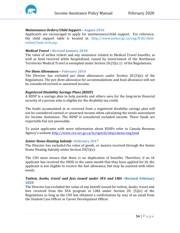

#### *Maintenance Orders/Child Support –* **August 2016**

Applicants are encouraged to apply for maintenance/child support. For reference, the child support table is located at: [http://www.justice.gc.ca/eng/fl-df/child](http://www.justice.gc.ca/eng/fl-df/child-enfant/look-rech.asp)[enfant/look-rech.asp.](http://www.justice.gc.ca/eng/fl-df/child-enfant/look-rech.asp)

#### *Medical Travel –* **Revised January 2018**

The value of airline tickets and any assistance related to Medical Travel benefits, as well as food received while hospitalized, issued by Government of the Northwest Territories Medical Travel is exempted under Section 20.(5)(c.1) of the Regulations.

#### *Per Diem Allowances –* **February 2014**

The Director has excluded per diem allowances under Section 20.(5)(e) of the Regulations. The per diem allowance for accommodations and food allowance will not be considered earned or unearned income.

#### *Registered Disability Savings Plans (RDSP)*

A RDSP is a savings plan to help parents and others save for the long-term financial security of a person who is eligible for the disability tax credit.

The funds accumulated in or received from a registered disability savings plan will not be considered earned or unearned income when calculating the needs assessment for Income Assistance. The RDSP is considered excluded income. These funds are reportable but not assessable.

To assist applicants with more information about RDSPs refer to Canada Revenue Agency's website<http://www.cra-arc.gc.ca/tx/rgstrd/rdsp/menu-eng.html>

## *Senior Home Heating Subsidy –***February 2017**

The Director has excluded the value of goods, or monies received through the Senior Home Heating Subsidy under Section 20(5)(e).

The CSO must ensure that there is no duplication of benefits. Therefore, if an IA applicant has received the SHHS in the same month that they have applied for IA, the applicant is not eligible to receive the fuel allowance, but may be assisted with other needs.

## *Tuition, books, travel and fees issued under SFA and LMA –***Revised February 2020**

The Director has excluded the value of any benefit issued for tuition, books, travel and fees received from the SFA program or LMA under Section 20. (5)(e) of the Regulations as long as the CSO has obtained a confirmation by way of an email from the Student Case Officer or Career Development Officer.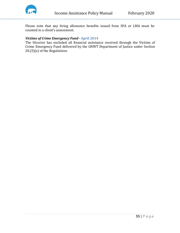

Please note that any living allowance benefits issued from SFA or LMA must be counted in a client's assessment.

## *Victims of Crime Emergency Fund -* **April 2014**

The Director has excluded all financial assistance received through the Victims of Crime Emergency Fund delivered by the GNWT Department of Justice under Section 20.(5)(e) of the Regulations.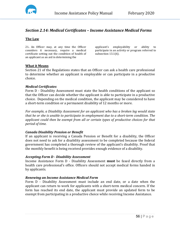

# *Section 2.14: Medical Certificates – Income Assistance Medical Forms*

## **The Law**

21**.** An Officer may, at any time the Officer considers it necessary, require a medical certificate setting out the condition of health of an applicant as an aid in determining the

applicant's employability or ability to participate in an activity or program referred to subsection 13.1(6).

## **What it Means**

Section 21 of the Regulations states that an Officer can ask a health care professional to determine whether an applicant is employable or can participate in a productive choice.

## *Medical Certificates*

Form D - Disability Assessment must state the health conditions of the applicant so that the Officer can decide whether the applicant is able to participate in a productive choice. Depending on the medical condition, the applicant may be considered to have a short-term condition or a permanent disability of 12 months or more.

*For example, a Disability Assessment for an applicant who has a broken leg would state that he or she is unable to participate in employment due to a short-term condition. The applicant could then be exempt from all or certain types of productive choices for that period of time.*

## *Canada Disability Pension or Benefit*

If an applicant is receiving a Canada Pension or Benefit for a disability, the Officer does not need to ask for a disability assessment to be completed because the federal government has completed a thorough review of the applicant's disability. Proof that the monthly benefit is being received provides enough evidence of a disability.

## *Accepting Form D - Disability Assessment*

Income Assistance Form D - Disability Assessment **must** be faxed directly from a health care professional's office. Officers should not accept medical forms handed in by applicants.

## *Renewing an Income Assistance Medical Form*

Form D - Disability Assessment must include an end date, or a date when the applicant can return to work for applicants with a short-term medical concern. If the form has reached its end date, the applicant must provide an updated form to be exempt from participating in a productive choice while receiving Income Assistance.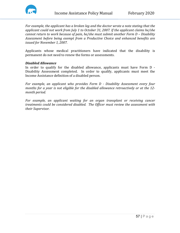

*For example, the applicant has a broken leg and the doctor wrote a note stating that the applicant could not work from July 1 to October 31, 2007. If the applicant claims he/she cannot return to work because of pain, he/she must submit another Form D – Disability Assessment before being exempt from a Productive Choice and enhanced benefits are issued for November 1, 2007.*

Applicants whose medical practitioners have indicated that the disability is permanent do not need to renew the forms or assessments.

#### *Disabled Allowance*

In order to qualify for the disabled allowance, applicants must have Form D - Disability Assessment completed. In order to qualify, applicants must meet the Income Assistance definition of a disabled person.

*For example, an applicant who provides Form D - Disability Assessment every four months for a year is not eligible for the disabled allowance retroactively or at the 12 month period.*

*For example, an applicant waiting for an organ transplant or receiving cancer treatments could be considered disabled. The Officer must review the assessment with their Supervisor.*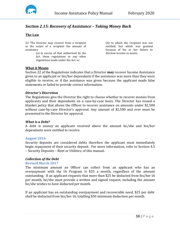

# *Section 2.15: Recovery of Assistance – Taking Money Back*

# **The Law**

22. The Director may recover from a recipient or the estate of a recipient the amount of assistance

(a) in excess of that authorized by the Act, these regulations or any other regulations made under the Act; or

(b) to which the recipient was not entitled, but which was granted because of his or her failure to disclose income or assets.

#### **What it Means**

Section 22 of the Regulations indicates that a Director **may** recover Income Assistance given to an applicant or his/her dependants if the assistance was more than they were eligible to receive, or if the assistance was given because the applicant made false statements or failed to provide correct information.

#### *Director's Discretion*

The Regulations give the Director the right to choose whether to recover monies from applicants and their dependants on a case-by-case basis. The Director has issued a blanket policy that allows the Officer to recover assistance on amounts under \$2,500 without case-by-case Director's approval. Any amount of \$2,500 and over must be presented to the Director for approval.

#### *What is a Debt?*

A debt is money an applicant received above the amount he/she and his/her dependants were entitled to receive.

#### **August 2016**

Security deposits are considered debts therefore the applicant must immediately begin repayment of their security deposit. For more information, refer to Section 4.5 – Security Deposits – Rent or Utilities, of this manual.

#### *Collection of the Debt*

#### **Revised March 2017**

The minimum amount an Officer can collect from an applicant who has an overpayment with the IA Program is \$25 a month, regardless of the amount outstanding. If an applicant requests that more than \$25 be deducted from his/her IA per month, he/she must provide a written and signed request, including the amount he/she wishes to have deducted per month.

If an applicant has an outstanding overpayment and recoverable need, \$25 per debt shall be deducted from his/her IA, totalling \$50 minimum deduction per month.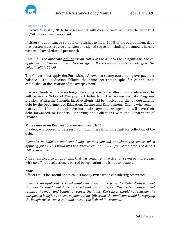

#### **August 2016**

Effective August 1, 2016, IA assessments with co-applicants will have the debt split 50/50 between each applicant.

If either the applicant or co-applicant wishes to incur 100% of the overpayment debt, that person must provide a written and signed request; including the amount he/she wishes to have deducted per month.

*Example: The applicant cannot assign 100% of the debt to the co-applicant. The coapplicant must agree and sign to that effect. If the two applicants do not agree, the default split is 50/50.* 

The Officer must apply the Furnishings Allowance to any outstanding overpayment balance. The deduction follows the same percentage split for co-applicants The deduction follows the same percentage split for co-applicants established at the creation of the overpayment.

Inactive clients who are no longer receiving assistance after 5 consecutive months will receive a Notice of Overpayment letter from the Income Security Programs Division. Within the 6 month, inactive clients will be invoiced for the full outstanding debt by the Department of Education, Culture and Employment. Clients who remain inactive for 10 months and have not made payment arrangements will have their debt forwarded to Financial Reporting and Collections with the Department of Finance.

## *Time Limited on Recovering a Government Debt*

If a debt was proven to be a result of fraud, there is no time limit for collection of the debt.

*Example: In 2000 an applicant living common-law did not claim the spouse when applying for IA. This fraud was not discovered until 2005 - five years later. The debt is still recoverable.*

A debt invoiced to an applicant that has remained inactive for seven or more years with no effort at collection, is barred by legislation and is not collectable.

#### **Note**

Officers must be careful not to collect money twice when considering recoveries.

*Example, an applicant received Employment Insurance from the Federal Government that he/she should not have received and did not report. The Federal Government realized the error and begins to recover the funds. The Officer should not consider the unreported benefit as an overpayment. If an Officer did, the applicant would be repaying the benefit twice – once to IA and once to the Federal Government.*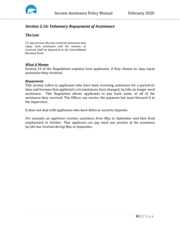

# *Section 2.16: Voluntary Repayment of Assistance*

## **The Law**

23. Any person who has received assistance may repay such assistance and the moneys so received shall be deposited in the Consolidated Revenue Fund.

#### **What it Means**

Section 23 of the Regulations explains how applicants, if they choose to, may repay assistance they received.

#### *Repayment*

This section refers to applicants who have been receiving assistance for a period-oftime and because that applicant's circumstances have changed, he/she no longer need assistance. This Regulation allows applicants to pay back some, or all of the assistance they received. The Officer can receive the payment but must forward it to the Supervisor.

It does not deal with applicants who have debts or security deposits.

*For example, an applicant receives assistance from May to September and then finds employment in October. That applicant can pay back any portion of the assistance he/she has received during May to September.*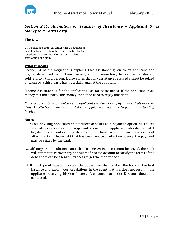

# *Section 2.17: Alienation or Transfer of Assistance – Applicant Owes Money to a Third Party*

## **The Law**

24. Assistance granted under these regulations is not subject to alienation or transfer by the recipient, or to attachment or seizure in satisfaction of a claim.

#### **What it Means**

Section 24 of the Regulations explains that assistance given to an applicant and his/her dependants is for their use only and not something that can be transferred, sold, etc. to a third person. It also states that any assistance received cannot be seized or taken by a third party having a claim against the applicant.

Income Assistance is for the applicant's use for basic needs. If the applicant owes money to a third party, this money cannot be used to repay that debt.

*For example, a bank cannot take an applicant's assistance to pay an overdraft or other debt. A collection agency cannot take an applicant's assistance to pay an outstanding invoice.*

#### **Notes**

- 1. When advising applicants about direct deposits as a payment option, an Officer shall always speak with the applicant to ensure the applicant understands that if he/she has an outstanding debt with the bank, a maintenance enforcement attachment or a loan/debt that has been sent to a collection agency, the payment may be seized by the bank.
- 2. Although the Regulations state that Income Assistance cannot be seized, the bank will attempt to recover any deposit made to the account to satisfy the terms of the debt and it can be a lengthy process to get the money back.
- 3. If this type of situation occurs, the Supervisor shall contact the bank in the first instance and explain our Regulations. In the event that this does not result in the applicant receiving his/her Income Assistance back, the Director should be contacted.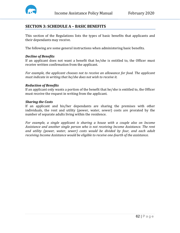

# **SECTION 3: SCHEDULE A – BASIC BENEFITS**

This section of the Regulations lists the types of basic benefits that applicants and their dependants may receive.

The following are some general instructions when administering basic benefits.

## *Decline of Benefits*

If an applicant does not want a benefit that he/she is entitled to, the Officer must receive written confirmation from the applicant.

*For example, the applicant chooses not to receive an allowance for food. The applicant must indicate in writing that he/she does not wish to receive it.*

#### *Reduction of Benefits*

If an applicant only wants a portion of the benefit that he/she is entitled to, the Officer must receive the request in writing from the applicant.

#### *Sharing the Costs*

If an applicant and his/her dependants are sharing the premises with other individuals, the rent and utility (power, water, sewer) costs are prorated by the number of separate adults living within the residence.

*For example, a single applicant is sharing a house with a couple also on Income Assistance and another single person who is not receiving Income Assistance. The rent and utility (power, water, sewer) costs would be divided by four, and each adult receiving Income Assistance would be eligible to receive one-fourth of the assistance.*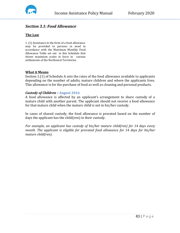

# *Section 3.1: Food Allowance*

## **The Law**

1. (1) Assistance in the form of a food allowance may be provided to persons in need in accordance with the Maximum Monthly Food Allowance Table set out in this Schedule that shows maximum scales in force in various settlements of the Northwest Territories.

#### **What it Means**

Section 1.(1) of Schedule A sets the rates of the food allowance available to applicants depending on the number of adults, mature children and where the applicants lives. This allowance is for the purchase of food as well as cleaning and personal products.

#### *Custody of Children –* **August 2016**

A food allowance is affected by an applicant's arrangement to share custody of a mature child with another parent. The applicant should not receive a food allowance for that mature child when the mature child is not in his/her custody.

In cases of shared custody, the food allowance is prorated based on the number of days the applicant has the child(ren) in their custody.

*For example, an applicant has custody of his/her mature child(ren) for 14 days every month. The applicant is eligible for prorated food allowance for 14 days for his/her mature child(ren).*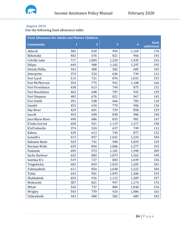

#### *August 2016*

Use the following food allowance table:

| <b>Food Allowance for Adults and Mature Children</b> |              |                |       |                         |                    |  |
|------------------------------------------------------|--------------|----------------|-------|-------------------------|--------------------|--|
| <b>Community</b>                                     | $\mathbf{1}$ | $\overline{2}$ | 3     | $\overline{\mathbf{4}}$ | Each<br>additional |  |
| Aklavik                                              | 585          | 818            | 994   | 1,169                   | 176                |  |
| Behchokò                                             | 482          | 676            | 821   | 966                     | 145                |  |
| Colville Lake                                        | 717          | 1,004          | 1,220 | 1,435                   | 216                |  |
| Déline                                               | 649          | 908            | 1,102 | 1,297                   | 195                |  |
| Dettah/Ndilo                                         | 343          | 480            | 582   | 685                     | 103                |  |
| Enterprise                                           | 374          | 524            | 636   | 749                     | 113                |  |
| Fort Liard                                           | 515          | 721            | 876   | 1,031                   | 155                |  |
| Fort McPherson                                       | 554          | 775            | 941   | 1,108                   | 166                |  |
| <b>Fort Providence</b>                               | 438          | 613            | 744   | 875                     | 131                |  |
| <b>Fort Resolution</b>                               | 463          | 648            | 787   | 925                     | 139                |  |
| Fort Simpson                                         | 483          | 676            | 821   | 967                     | 145                |  |
| Fort Smith                                           | 391          | 548            | 666   | 783                     | 118                |  |
| Gamètì                                               | 453          | 634            | 770   | 906                     | 136                |  |
| Hay River                                            | 429          | 601            | 729   | 858                     | 129                |  |
| Inuvik                                               | 493          | 690            | 838   | 986                     | 148                |  |
| Jean Marie River                                     | 490          | 686            | 833   | 981                     | 147                |  |
| K'ásho Got'iné                                       | 658          | 921            | 1,119 | 1,317                   | 198                |  |
| K'atl'odeeche                                        | 374          | 524            | 637   | 749                     | 112                |  |
| Kakisa                                               | 439          | 613            | 745   | 877                     | 132                |  |
| Łutselk'e                                            | 613          | 857            | 1,041 | 1,224                   | 184                |  |
| Nahanni Butte                                        | 529          | 741            | 900   | 1,059                   | 159                |  |
| Norman Wells                                         | 639          | 894            | 1,086 | 1,277                   | 192                |  |
| Paulatuk                                             | 695          | 973            | 1,181 | 1,390                   | 209                |  |
| Sachs Harbour                                        | 632          | 883            | 1,073 | 1,262                   | 190                |  |
| Sambaa K'e                                           | 519          | 727            | 883   | 1,039                   | 156                |  |
| Tsiigehtchic                                         | 602          | 843            | 1,024 | 1,205                   | 181                |  |
| Tuktoyaktuk                                          | 611          | 854            | 1,038 | 1,222                   | 184                |  |
| Tulita                                               | 643          | 901            | 1,093 | 1,286                   | 193                |  |
| Ulukhaktok                                           | 654          | 916            | 1,112 | 1,309                   | 197                |  |
| Wekweètì                                             | 587          | 821            | 997   | 1,174                   | 176                |  |
| Whatì                                                | 520          | 727            | 884   | 1,040                   | 156                |  |
| Wrigley                                              | 543          | 759            | 924   | 1,086                   | 163                |  |
| Yellowknife                                          | 343          | 480            | 582   | 685                     | 103                |  |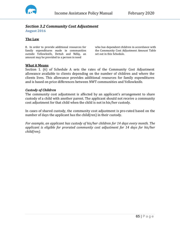

# *Section 3.2 Community Cost Adjustment*

**August 2016**

## **The Law**

8. In order to provide additional resources for family expenditures made in communities outside Yellowknife, Dettah and Ndilo, an amount may be provided to a person in need

who has dependent children in accordance with the Community Cost Adjustment Amount Table set out in this Schedule.

#### **What it Means**

Section 1. (6) of Schedule A sets the rates of the Community Cost Adjustment allowance available to clients depending on the number of children and where the clients lives. This allowance provides additional resources for family expenditures and is based on price differences between NWT communities and Yellowknife.

#### *Custody of Children*

The community cost adjustment is affected by an applicant's arrangement to share custody of a child with another parent. The applicant should not receive a community cost adjustment for that child when the child is not in his/her custody.

In cases of shared custody, the community cost adjustment is pro-rated based on the number of days the applicant has the child(ren) in their custody.

*For example, an applicant has custody of his/her children for 14 days every month. The applicant is eligible for prorated community cost adjustment for 14 days for his/her child(ren).*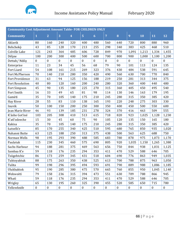

| <b>Community Cost Adjustment Amount Table- FOR CHILDREN ONLY</b> |                  |                  |                  |                  |                  |                  |                  |                  |                  |                  |                  |                  |
|------------------------------------------------------------------|------------------|------------------|------------------|------------------|------------------|------------------|------------------|------------------|------------------|------------------|------------------|------------------|
| <b>Community</b>                                                 | $\mathbf{1}$     | $\overline{2}$   | 3                | $\overline{4}$   | 5                | $6\phantom{1}6$  | $\overline{7}$   | 8                | 9                | 10               | 11               | 12               |
| Aklavik                                                          | 80               | 160              | 240              | 320              | 400              | 480              | 560              | 640              | 720              | 800              | 880              | 960              |
| Behchokò                                                         | 43               | 85               | 128              | 170              | 213              | 255              | 298              | 340              | 383              | 425              | 468              | 510              |
| Colville Lake                                                    | 121              | 243              | 364              | 485              | 606              | 728              | 849              | 970              | 1,091            | 1,213            | 1,334            | 1,455            |
| Déline                                                           | 100              | 200              | 300              | 400              | 500              | 600              | 700              | 800              | 900              | 1,000            | 1,100            | 1,200            |
| Dettah/Ndilo                                                     | $\boldsymbol{0}$ | $\boldsymbol{0}$ | $\boldsymbol{0}$ | $\boldsymbol{0}$ | $\boldsymbol{0}$ | $\boldsymbol{0}$ | $\boldsymbol{0}$ | $\boldsymbol{0}$ | $\boldsymbol{0}$ | $\boldsymbol{0}$ | $\boldsymbol{0}$ | $\boldsymbol{0}$ |
| Enterprise                                                       | 11               | 23               | 34               | 45               | 56               | 68               | 79               | 90               | 101              | 113              | 124              | 135              |
| Fort Liard                                                       | 54               | 108              | 161              | 215              | 269              | 323              | 376              | 430              | 484              | 538              | 591              | 645              |
| Fort McPherson                                                   | 70               | 140              | 210              | 280              | 350              | 420              | 490              | 560              | 630              | 700              | 770              | 840              |
| Fort Providence                                                  | 31               | 63               | 94               | 125              | 156              | 188              | 219              | 250              | 281              | 313              | 344              | 375              |
| Fort Resolution                                                  | 40               | 80               | 120              | 160              | 200              | 240              | 280              | 320              | 360              | 400              | 440              | 480              |
| Fort Simpson                                                     | 45               | 90               | 135              | 180              | 225              | 270              | 315              | 360              | 405              | 450              | 495              | 540              |
| Fort Smith                                                       | 16               | 33               | 49               | 65               | 81               | 98               | 114              | 130              | 146              | 163              | 179              | 195              |
| Gamètì                                                           | 35               | 70               | 105              | 140              | 175              | 210              | 245              | 280              | 315              | 350              | 385              | 420              |
| Hay River                                                        | 28               | 55               | 83               | 110              | 138              | 165              | 193              | 220              | 248              | 275              | 303              | 330              |
| Inuvik                                                           | 50               | 100              | 150              | 200              | 250              | 300              | 350              | 400              | 450              | 500              | 550              | 600              |
| Jean Marie River                                                 | 46               | 93               | 139              | 185              | 231              | 278              | 324              | 370              | 416              | 463              | 509              | 555              |
| K'ásho Got'iné                                                   | 103              | 205              | 308              | 410              | 513              | 615              | 718              | 820              | 923              | 1,025            | 1,128            | 1,230            |
| K'atl'odeeche                                                    | 15               | 30               | 45               | 60               | 75               | 90               | 105              | 120              | 135              | 150              | 165              | 180              |
| Kakisa                                                           | 35               | 70               | 105              | 140              | 175              | 210              | 245              | 280              | 315              | 350              | 385              | 420              |
| Łutselk'e                                                        | 85               | 170              | 255              | 340              | 425              | 510              | 595              | 680              | 765              | 850              | 935              | 1,020            |
| Nahanni Butte                                                    | 63               | 125              | 188              | 250              | 313              | 375              | 438              | 500              | 563              | 625              | 688              | 750              |
| Norman Wells                                                     | 98               | 195              | 293              | 390              | 488              | 585              | 683              | 780              | 878              | 975              | 1,073            | 1,170            |
| Paulatuk                                                         | 115              | 230              | 345              | 460              | 575              | 690              | 805              | 920              | 1,035            | 1,150            | 1,265            | 1,380            |
| Sachs Harbour                                                    | 94               | 188              | 281              | 375              | 469              | 563              | 656              | 750              | 844              | 938              | 1,031            | 1,125            |
| Sambaa K'e                                                       | 59               | 118              | 176              | 235              | 294              | 353              | 411              | 470              | 529              | 588              | 646              | 705              |
| Tsiigehtchic                                                     | 86               | 173              | 259              | 345              | 431              | 518              | 604              | 690              | 776              | 863              | 949              | 1,035            |
| Tuktoyaktuk                                                      | 88               | 175              | 263              | 350              | 438              | 525              | 613              | 700              | 788              | 875              | 963              | 1,050            |
| Tulita                                                           | 99               | 198              | 296              | 395              | 494              | 593              | 691              | 790              | 889              | 988              | 1,086            | 1,185            |
| Ulukhaktok                                                       | 95               | 190              | 285              | 380              | 475              | 570              | 665              | 760              | 855              | 950              | 1,045            | 1,140            |
| Wekweètì                                                         | 79               | 158              | 236              | 315              | 394              | 473              | 551              | 630              | 709              | 788              | 866              | 945              |
| Whatì                                                            | 59               | 118              | 176              | 235              | 294              | 353              | 411              | 470              | 529              | 588              | 646              | 705              |
| Wrigley                                                          | 65               | 130              | 195              | 260              | 325              | 390              | 455              | 520              | 585              | 650              | 715              | 780              |
| Yellowknife                                                      | $\boldsymbol{0}$ | $\boldsymbol{0}$ | $\boldsymbol{0}$ | $\bf{0}$         | $\boldsymbol{0}$ | $\boldsymbol{0}$ | $\boldsymbol{0}$ | $\boldsymbol{0}$ | $0\,$            | $\boldsymbol{0}$ | $\boldsymbol{0}$ | $\boldsymbol{0}$ |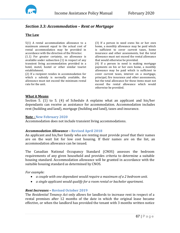

# *Section 3.3: Accommodation – Rent or Mortgage*

## **The Law**

5(1) A rental accommodation allowance to a maximum amount equal to the actual cost of rental accommodation may be provided in accordance with the direction of the Director.

(1.1) For greater certainty, no allowance is available under subsection (1) in respect of any transient living accommodation provided in a hotel, motel, hostel or other similar tourist establishment.

(2) If a recipient resides in accommodation for which a subsidy is normally available, the allowance must not exceed the minimum rental rate for the unit.

(3) If a person in need owns his or her own home, a monthly allowance may be paid which is sufficient to cover current taxes, home insurance and other assessments, but the total allowance must not exceed the rental allowance that would otherwise be provided.

(4) If a person in need is making mortgage payments on his or her own home, a monthly allowance may be paid which is sufficient to cover current taxes, interest on a mortgage, principal, fire insurance and other assessments, but the total allowance for these items must not exceed the rental allowance which would otherwise be provided.

#### **What it Means**

Section 5. (1) to 5. (4) of Schedule A explains what an applicant and his/her dependants can receive as assistance for accommodation. Accommodation includes rent (building and land), mortgage (building and land), taxes and insurance.

#### **Note - New February 2020**

Accommodation does not include transient living accommodations.

#### *Accommodation Allowance –* **Revised April 2018**

An applicant and his/her family who are renting must provide proof that their names are on the wait list for low cost housing. If their names are on the list, an accommodation allowance can be issued.

The Canadian National Occupancy Standard (CNOS) assesses the bedroom requirements of any given household and provides criteria to determine a suitable housing standard. Accommodation allowance will be granted in accordance with the suitable housing standard as determined by CNOS.

*For example:*

- *a couple with one dependant would require a maximum of a 2 bedroom unit.*
- *a single applicant would qualify for a room rental or bachelor apartment.*

#### *Rent Increases –* **Revised October 2019**

The *Residential Tenancy Act* only allows for landlords to increase rent in respect of a rental premises after 12 months of the date in which the original lease became effective, or when the landlord has provided the tenant with 3 months written notice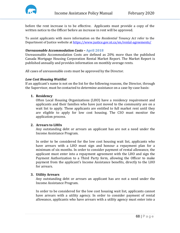

before the rent increase is to be effective. Applicants must provide a copy of the written notice to the Officer before an increase in rent will be approved.

To assist applicants with more information on the *Residential Tenancy Act* refer to the Department of Justice website a[t https://www.justice.gov.nt.ca/en/rental-agreements/](https://www.justice.gov.nt.ca/en/rental-agreements/)

#### *Unreasonable Accommodation Costs –* **April 2018**

Unreasonable Accommodation Costs are defined as 20% more than the published Canada Mortgage Housing Corporation Rental Market Report. The Market Report is published annually and provides information on monthly average rents.

All cases of unreasonable costs must be approved by the Director.

#### *Low Cost Housing Waitlist*

If an applicant's name is not on the list for the following reasons, the Director, through the Supervisor, must be contacted to determine assistance on a case-by-case basis:

#### **1. Residency**

Often Local Housing Organizations (LHO) have a residency requirement and applicants and their families who have just moved to the community are on a wait list to apply. These applicants are entitled to full market rent until they are eligible to apply for low cost housing. The CSO must monitor the application process.

#### **2. Arrears to LHOs**

Any outstanding debt or arrears an applicant has are not a need under the Income Assistance Program.

In order to be considered for the low cost housing wait list, applicants who have arrears with a LHO must sign and honour a repayment plan for a minimum of six months. In order to consider payment of rental allowance, the applicant must enter into a repayment agreement with the LHO and sign the Payment Authorization to a Third Party form, allowing the Officer to make payment from the applicant's Income Assistance benefits, directly to the LHO for arrears.

#### **3. Utility Arrears**

Any outstanding debt or arrears an applicant has are not a need under the Income Assistance Program.

In order to be considered for the low cost housing wait list, applicants cannot have arrears with a utility agency. In order to consider payment of rental allowance, applicants who have arrears with a utility agency must enter into a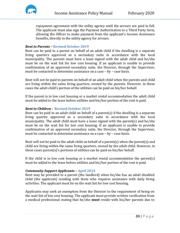repayment agreement with the utility agency until the arrears are paid in full. The applicant must also sign the Payment Authorization to a Third Party form, allowing the Officer to make payment from the applicant's Income Assistance benefits, directly to the utility agency for arrears.

# *Rent to Parents –* **Revised October 2019**

Rent can be paid to a parent on behalf of an adult child if the dwelling is a separate living quarters approved as a secondary suite in accordance with the local municipality. The parents must have a lease signed with the adult child and he/she must be on the wait list for low cost housing. If an applicant is unable to provide confirmation of an approved secondary suite, the Director, through the Supervisor, must be contacted to determine assistance on a case – by – case basis.

Rent will not be paid to parents on behalf of an adult child when the parents and child are living within the same living quarters, owned by the parents. However, in these cases the adult child's portion of the utilities can be paid on his/her behalf.

If the parent is in low cost housing or a market rental accommodation the adult child must be added to the lease before utilities and his/her portion of the rent is paid.

# *Rent to Children -* **Revised October 2019**

Rent can be paid to an adult child on behalf of a parent(s) if the dwelling is a separate living quarter approved as a secondary suite in accordance with the local municipality. The adult child must have a lease signed with the parent(s) and he/she must be on the wait list for low cost housing. If an applicant is unable to provide confirmation of an approved secondary suite, the Director, through the Supervisor, must be contacted to determine assistance on a case – by – case basis.

Rent will not be paid to the adult child on behalf of a parent(s) when the parent(s) and child are living within the same living quarters, owned by the adult child. However, in these cases parent(s)'s portions of utilities can be paid on his/her behalf.

If the child is in low cost housing or a market rental accommodation the parent(s) must be added to the lease before utilities and his/her portion of the rent is paid.

## *Community Support Applicants –* **April 2014**

Rent may be provided to a parent (the landlord) when he/she has an adult disabled child (the applicant) residing with them who requires assistance with daily living activities. The applicant must be on the wait list for low cost housing.

Applicants may seek an exemption from the Director to the requirement of being on the wait list of low cost housing. The applicant must provide written verification from a medical professional stating that he/she **must** reside with his/her parents due to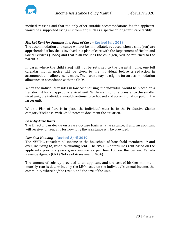

medical reasons and that the only other suitable accommodations for the applicant would be a supported living environment, such as a special or long-term care facility.

# *Market Rent for Families in a Plan of Care –* **Revised July 2018**

The accommodation allowance will not be immediately reduced when a child(ren) are apprehended if he/she is involved in a plan of care with the Department of Health and Social Services (H&SS) and that plan includes the child(ren) will be returned to the parent(s).

In cases where the child (ren) will not be returned to the parental home, one full calendar month notice will be given to the individual before a reduction in accommodation allowance is made. The parent may be eligible for an accommodation allowance in accordance with the CNOS.

When the individual resides in low cost housing, the individual would be placed on a transfer list for an appropriate sized unit. While waiting for a transfer to the smaller sized unit, the individual would continue to be housed and accommodation paid in the larger unit.

When a Plan of Care is in place, the individual must be in the Productive Choice category 'Wellness' with CMAS notes to document the situation.

## *Case-by-Case Basis*

The Director can decide on a case-by-case basis what assistance, if any, an applicant will receive for rent and for how long the assistance will be provided.

## *Low Cost Housing* **– Revised April 2019**

The NWTHC considers all income in the household of household members 19 and over, including IA, when calculating rent. The NWTHC determines rent based on the applicants previous years gross income as per line 150 on the current Canada Revenue Agency (CRA) Notice of Assessment (NOA).

The amount of subsidy provided to an applicant and the cost of his/her minimum monthly rent is determined by the LHO based on the individual's annual income, the community where he/she reside, and the size of the unit.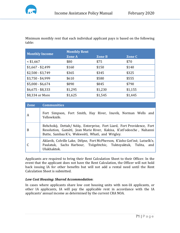

Minimum monthly rent that each individual applicant pays is based on the following table:

| <b>Monthly Income</b> | <b>Monthly Rent</b> |               |               |  |  |  |
|-----------------------|---------------------|---------------|---------------|--|--|--|
|                       | <b>Zone A</b>       | <b>Zone B</b> | <b>Zone C</b> |  |  |  |
| $<$ \$1,667           | \$80                | \$75          | \$70          |  |  |  |
| $$1,667 - $2,499$     | \$160               | \$150         | \$140         |  |  |  |
| $$2,500 - $3,749$     | \$365               | \$345         | \$325         |  |  |  |
| $$3,750 - $4,999$     | \$610               | \$580         | \$555         |  |  |  |
| $$5,000 - $6,674$     | \$890               | \$845         | \$790         |  |  |  |
| $$6,675 - $8,333$     | \$1,295             | \$1,230       | \$1,155       |  |  |  |
| \$8,334 or More       | \$1,625             | \$1,545       | \$1,445       |  |  |  |

| <b>Zone</b> | <b>Communities</b>                                                                                                                                                                                |  |  |  |  |
|-------------|---------------------------------------------------------------------------------------------------------------------------------------------------------------------------------------------------|--|--|--|--|
| A           | Fort Simpson, Fort Smith, Hay River, Inuvik, Norman Wells and<br>Yellowknife.                                                                                                                     |  |  |  |  |
| B           | Behchokò, Dettah/Ndilo, Enterprise, Fort Liard, Fort Providence, Fort<br>Resolution, Gamètì, Jean Marie River, Kakisa, K'atl'odeeche, Nahanni<br>Butte, Sambaa K'e, Wekweètì, Whatì, and Wrigley. |  |  |  |  |
|             | Aklavik, Colville Lake, Déline, Fort McPherson, K'ásho Got'iné, Lutselk'e,<br>Paulatuk, Sachs Harbour, Tsiigehtchic, Tuktoyaktuk, Tulita, and<br>Ulukhaktok.                                      |  |  |  |  |

Applicants are required to bring their Rent Calculation Sheet to their Officer. In the event that the applicant does not have the Rent Calculation, the Officer will not hold back issuing IA for other benefits but will not add a rental need until the Rent Calculation Sheet is submitted.

## *Low Cost Housing: Shared Accommodation*:

In cases where applicants share low cost housing units with non-IA applicants, or other IA applicants, IA will pay the applicable rent in accordance with the IA applicants' annual income as determined by the current CRA NOA.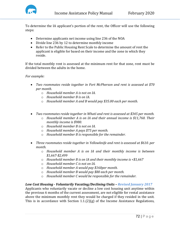

To determine the IA applicant's portion of the rent, the Officer will use the following steps:

- Determine applicants net income using line 236 of the NOA
- Divide line 236 by 12 to determine monthly income
- Refer to the Public Housing Rent Scale to determine the amount of rent the applicant is eligible for based on their income and the zone in which they reside.

If the total monthly rent is assessed at the minimum rent for that zone, rent must be divided between the adults in the home.

*For example:*

- *Two roommates reside together in Fort McPherson and rent is assessed at \$70 per month.* 
	- o *Household member A is not on IA.*
	- o *Household member B is on IA.*
	- o *Household member A and B would pay \$35.00 each per month.*
- *Two roommates reside together in Whatı̀and rent is assessed at \$345 per month.* 
	- o *Household member A is on IA and their annual income is \$11,760. Their monthly income is \$980.*
	- o *Household member B is not on IA.*
	- o *Household member A pays \$75 per month.*
	- o *Household member B is responsible for the remainder.*
- *Three roommates reside together in Yellowknife and rent is assessed at \$610. per month.* 
	- o *Household member A is on IA and their monthly income is between \$1,667-\$2,499*
	- o *Household member B is on IA and their monthly income is <\$1,667*
	- o *Household member C is not on IA.*
	- o *Household member A would pay \$160per month.*
	- o *Household member B would pay \$80 each per month.*
	- o *Household member C would be responsible for the remainder.*

# *Low Cost Housing - Voluntarily Vacating/Declining Units – Revised January 2017*

Applicants who voluntarily vacate or decline a low cost housing unit anytime within the previous 6 months of the current assessment, are not eligible for rental assistance above the minimum monthly rent they would be charged if they resided in the unit. This is in accordance with Section 1.1.(2)(g) of the Income Assistance Regulations,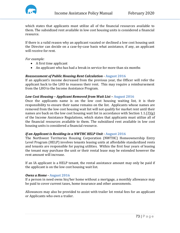

which states that applicants must utilize all of the financial resources available to them. The subsidized rent available in low cost housing units is considered a financial resource.

If there is a valid reason why an applicant vacated or declined a low cost housing unit the Director can decide on a case-by-case basis what assistance, if any, an applicant will receive for rent.

*For example:*

- A first time applicant
- An applicant who has had a break in service for more than six months

## *Reassessment of Public Housing Rent Calculation -* **August 2016**

If an applicant's income decreased from the previous year, the Officer will refer the applicant back to the LHO to reassess their rent. This may require a reimbursement from the LHO to the Income Assistance Program.

#### *Low Cost Housing – Applicant Removed from Wait List –* **August 2016**

Once the applicants name is on the low cost housing waiting list, it is their responsibility to ensure their name remains on the list. Applicants whose names are removed from the low cost housing wait list will not qualify for market rent until their names are back on the low cost housing wait list in accordance with Section 1.1.(2)(g) of the Income Assistance Regulations, which states that applicants must utilize all of the financial resources available to them. The subsidized rent available in low cost housing units is considered a financial resource.

#### *If an Applicant is Residing in a NWTHC HELP Unit -* **August 2016**

The Northwest Territories Housing Corporation (NWTHC) Homeownership Entry Level Program (HELP) involves tenants leasing units at affordable standardized rents and tenants are responsible for paying utilities. Within the first four years of leasing the tenant may purchase the unit or their rental lease may be extended however the rent amount will increase.

If an IA applicant is a HELP tenant, the rental assistance amount may only be paid if the applicant is on the low cost housing wait list.

## *Owns a Home -* **August 2016**

If a person in need owns his/her home without a mortgage, a monthly allowance may be paid to cover current taxes, home insurance and other assessments.

Allowances may also be provided to assist with trailer lot rental fees for an applicant or Applicants who own a trailer.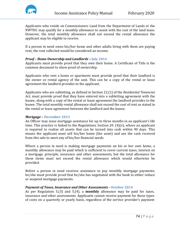

Applicants who reside on Commissioners Land from the Department of Lands or the NWTHC may qualify for a monthly allowance to assist with the cost of the land lease. However, the total monthly allowance shall not exceed the rental allowance the applicant may be eligible to receive.

If a person in need owns his/her home and other adults living with them are paying rent, the rent collected would be considered an income.

## *Proof – Home Ownership and Landlords –* **July 2014**

Applicants must provide proof that they own their home. A Certificate of Title is the common document to show proof of ownership.

Applicants who rent a home or apartment must provide proof that their landlord is the owner or rental agency of the unit. This can be a copy of the rental or lease agreement the landlord provides to the applicant.

Applicants who are subletting, as defined in Section 22.(1) of the *Residential Tenancies Act*, must provide proof that they have entered into a subletting agreement with the leasee, along with a copy of the rental or lease agreement the landlord provides to the leasee. The total monthly rental allowance shall not exceed the cost of rent as stated in the rental or lease agreement between the landlord and the leasee.

## *Mortgage –* **December 2013**

An Officer may issue mortgage assistance for up to three months in an applicant's life time. This practice is linked to the Regulations, Section 20.  $(4)(v)$ , where an applicant is required to realize all assets that can be turned into cash within 90 days. This means the applicant must sell his/her home (the asset) and use the cash received from this sale to meet any of his/her financial needs.

Where a person in need is making mortgage payments on his or her own home, a monthly allowance may be paid which is sufficient to cover current taxes, interest on a mortgage, principle, insurance and other assessments, but the total allowance for these items must not exceed the rental allowance which would otherwise be provided.

Before a person in need receives assistance to pay monthly mortgage payments, he/she must provide proof that he/she has negotiated with the bank to either reduce or suspend mortgage payments.

## *Payment of Taxes, Insurance and Other Assessments -* **October 2014**

As per Regulation 5.(3) and 5.(4), a **monthly** allowance may be paid for taxes, insurance and other assessments. Applicants cannot receive payment for these types of costs on a quarterly or yearly basis, regardless of the service provider's payment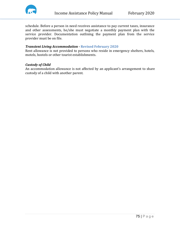

schedule. Before a person in need receives assistance to pay current taxes, insurance and other assessments, he/she must negotiate a monthly payment plan with the service provider. Documentation outlining the payment plan from the service provider must be on file.

## *Transient Living Accommodation* **- Revised February 2020**

Rent allowance is not provided to persons who reside in emergency shelters, hotels, motels, hostels or other tourist establishments.

#### *Custody of Child*

An accommodation allowance is not affected by an applicant's arrangement to share custody of a child with another parent.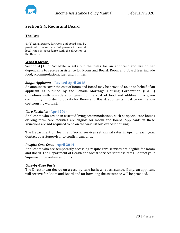

# **Section 3.4: Room and Board**

## **The Law**

4. (1) An allowance for room and board may be provided to or on behalf of persons in need at local rates in accordance with the direction of the Director.

#### **What it Means**

Section 4.(1) of Schedule A sets out the rules for an applicant and his or her dependants to receive assistance for Room and Board. Room and Board fees include food, accommodations, fuel, and utilities.

#### *Single Applicant –* **Revised April 2018**

An amount to cover the cost of Room and Board may be provided to, or on behalf of an applicant as outlined by the Canada Mortgage Housing Corporation (CMHC) Guidelines with consideration given to the cost of food and utilities in a given community. In order to qualify for Room and Board, applicants must be on the low cost housing wait list.

#### *Care Facilities -* **April 2014**

Applicants who reside in assisted living accommodations, such as special care homes or long term care facilities are eligible for Room and Board. Applicants in these situations are **not** required to be on the wait list for low cost housing.

The Department of Health and Social Services set annual rates in April of each year. Contact your Supervisor to confirm amounts.

#### *Respite Care Costs -* **April 2014**

Applicants who are temporarily accessing respite care services are eligible for Room and Board. The Department of Health and Social Services set these rates. Contact your Supervisor to confirm amounts.

#### *Case-by-Case Basis*

The Director can decide on a case-by-case basis what assistance, if any, an applicant will receive for Room and Board and for how long the assistance will be provided.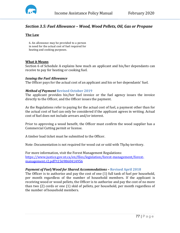

# *Section 3.5: Fuel Allowance – Wood, Wood Pellets, Oil, Gas or Propane*

## **The Law**

6. An allowance may be provided to a person in need for the actual cost of fuel required for heating and cooking purposes.

## **What it Means**

Section 6 of Schedule A explains how much an applicant and his/her dependants can receive to pay for heating or cooking fuel.

#### *Issuing the Fuel Allowance*

The Officer pays for the actual cost of an applicant and his or her dependants' fuel.

## *Method of Payment* **Revised October 2019**

The applicant provides his/her fuel invoice or the fuel agency issues the invoice directly to the Officer, and the Officer issues the payment.

As the Regulations refer to paying for the actual cost of fuel, a payment other than for the actual cost of fuel can only be considered if the applicant agrees in writing. Actual cost of fuel does not include arrears and/or interest.

Prior to approving a wood benefit, the Officer must confirm the wood supplier has a Commercial Cutting permit or license.

A timber load ticket must be submitted to the Officer.

Note: Documentation is not required for wood cut or sold with Tłicho territory.

For more information, visit the Forest Management Regulations: [https://www.justice.gov.nt.ca/en/files/legislation/forest-management/forest](https://www.justice.gov.nt.ca/en/files/legislation/forest-management/forest-management.r2.pdf?t1569860414956)[management.r2.pdf?t1569860414956](https://www.justice.gov.nt.ca/en/files/legislation/forest-management/forest-management.r2.pdf?t1569860414956)

## *Payment of Fuel/Wood for Shared Accommodations –* **Revised April 2018**

The Officer is to authorize and pay the cost of one (1) full tank of fuel per household, per month regardless of the number of household members. If the applicant is receiving wood or wood pellets, the Officer is to authorize and pay the cost of no more than two (2) cords or one (1) skid of pellets, per household, per month regardless of the number of household members.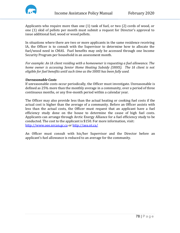

Applicants who require more than one (1) tank of fuel, or two (2) cords of wood, or one (1) skid of pellets per month must submit a request for Director's approval to issue additional fuel, wood or wood pellets.

In situations where there are two or more applicants in the same residence receiving IA, the Officer is to consult with the Supervisor to determine how to allocate the fuel/wood need in CMAS. Fuel benefits may only be accessed through one Income Security Program per household in an assessment month.

*For example: An IA client residing with a homeowner is requesting a fuel allowance. The home owner is accessing Senior Home Heating Subsidy (SHHS). The IA client is not eligible for fuel benefits until such time as the SHHS has been fully used.* 

#### *Unreasonable Costs*

If unreasonable costs occur periodically, the Officer must investigate. Unreasonable is defined as 25% more than the monthly average in a community, over a period of three continuous months, or any five-month period within a calendar year.

The Officer may also provide less than the actual heating or cooking fuel costs if the actual cost is higher than the average of a community. Before an Officer assists with less than the actual costs, the Officer must request that an applicant have a fuel efficiency study done on the house to determine the cause of high fuel costs. Applicants can arrange through Arctic Energy Alliance for a fuel efficiency study to be conducted. The cost to the applicant is \$150. For more information, visit: [http://www.oee.nrcan.gc.ca](http://www.oee.nrcan.gc.ca/) or<http://aea.nt.ca/>

An Officer must consult with his/her Supervisor and the Director before an applicant's fuel allowance is reduced to an average for the community.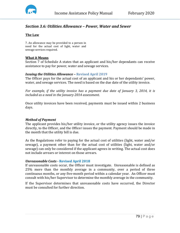

# *Section 3.6: Utilities Allowance – Power, Water and Sewer*

## **The Law**

7. An allowance may be provided to a person in need for the actual cost of light, water and sewage services required.

#### **What it Means**

Section 7 of Schedule A states that an applicant and his/her dependants can receive assistance to pay for power, water and sewage services.

## *Issuing the Utilities Allowance –* **Revised April 2019**

The Officer pays for the actual cost of an applicant and his or her dependants' power, water, and sewage services. The need is based on the due date of the utility invoice.

*For example, if the utility invoice has a payment due date of January 3, 2014, it is included as a need in the January 2014 assessment.*

Once utility invoices have been received, payments must be issued within 2 business days.

## *Method of Payment*

The applicant provides his/her utility invoice, or the utility agency issues the invoice directly, to the Officer, and the Officer issues the payment. Payment should be made in the month that the utility bill is due.

As the Regulations refer to paying for the actual cost of utilities (light, water and/or sewage), a payment other than for the actual cost of utilities (light, water and/or sewage) can only be considered if the applicant agrees in writing. The actual cost does not include arrears or interest on those arrears.

## *Unreasonable Costs -* **Revised April 2018**

If unreasonable costs occur, the Officer must investigate. Unreasonable is defined as 25% more than the monthly average in a community, over a period of three continuous months, or any five-month period within a calendar year. An Officer must consult with his/her Supervisor to determine the monthly average in the community.

If the Supervisor determines that unreasonable costs have occurred, the Director must be consulted for further direction.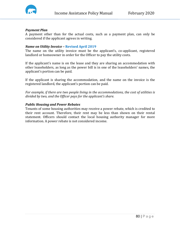

#### *Payment Plan*

A payment other than for the actual costs, such as a payment plan, can only be considered if the applicant agrees in writing.

#### *Name on Utility Invoice –* **Revised April 2019**

The name on the utility invoice must be the applicant's, co-applicant, registered landlord or homeowner in order for the Officer to pay the utility costs.

If the applicant's name is on the lease and they are sharing an accommodation with other leaseholders, as long as the power bill is in one of the leaseholders' names, the applicant's portion can be paid.

If the applicant is sharing the accommodation, and the name on the invoice is the registered landlord, the applicant's portion can be paid.

*For example, if there are two people living in the accommodations, the cost of utilities is divided by two, and the Officer pays for the applicant's share.*

#### *Public Housing and Power Rebates*

Tenants of some housing authorities may receive a power rebate, which is credited to their rent account. Therefore, their rent may be less than shown on their rental statement. Officers should contact the local housing authority manager for more information. A power rebate is not considered income.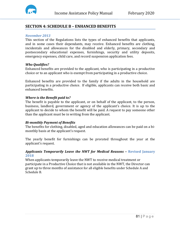

# **SECTION 4: SCHEDULE B – ENHANCED BENEFITS**

#### *November 2013*

This section of the Regulations lists the types of enhanced benefits that applicants, and in some cases their dependants, may receive. Enhanced benefits are clothing, incidentals and allowances for the disabled and elderly, primary, secondary and postsecondary educational expenses, furnishings, security and utility deposits, emergency expenses, child care, and record suspension application fees.

#### *Who Qualifies?*

Enhanced benefits are provided to the applicant, who is participating in a productive choice or to an applicant who is exempt from participating in a productive choice.

Enhanced benefits are provided to the family if the adults in the household are participating in a productive choice. If eligible, applicants can receive both basic and enhanced benefits.

## *Where is the Benefit paid to?*

The benefit is payable to the applicant, or on behalf of the applicant, to the person, business, landlord, government or agency of the applicant's choice. It is up to the applicant to decide to whom the benefit will be paid. A request to pay someone other than the applicant must be in writing from the applicant.

## *Bi-monthly Payment of Benefits*

The benefits for clothing, disabled, aged and education allowances can be paid on a bimonthly basis at the applicant's request*.*

The yearly benefit for furnishings can be prorated throughout the year at the applicant's request.

## *Applicants Temporarily Leave the NWT for Medical Reasons –* **Revised January 2018**

When applicants temporarily leave the NWT to receive medical treatment or participate in a Productive Choice that is not available in the NWT, the Director can grant up to three months of assistance for all eligible benefits under Schedule A and Schedule B.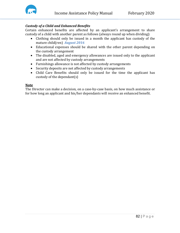

# *Custody of a Child and Enhanced Benefits*

Certain enhanced benefits are affected by an applicant's arrangement to share custody of a child with another parent as follows (always round up when dividing):

- Clothing should only be issued in a month the applicant has custody of the mature child(ren) *August 2016*
- Educational expenses should be shared with the other parent depending on the custody arrangement
- The disabled, aged and emergency allowances are issued only to the applicant and are not affected by custody arrangements
- Furnishings allowance is not affected by custody arrangements
- Security deposits are not affected by custody arrangements
- Child Care Benefits should only be issued for the time the applicant has custody of the dependant(s)

#### **Note**

The Director can make a decision, on a case-by-case basis, on how much assistance or for how long an applicant and his/her dependants will receive an enhanced benefit.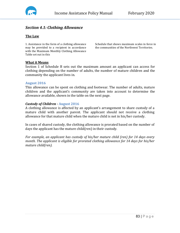

# *Section 4.1: Clothing Allowance*

# **The Law**

1. Assistance in the form of a clothing allowance may be provided to a recipient in accordance with the Maximum Monthly Clothing Allowance Table set out in this

Schedule that shows maximum scales in force in the communities of the Northwest Territories.

#### **What it Means**

Section 1 of Schedule B sets out the maximum amount an applicant can access for clothing depending on the number of adults, the number of mature children and the community the applicant lives in.

#### **August 2016**

This allowance can be spent on clothing and footwear. The number of adults, mature children and the applicant's community are taken into account to determine the allowance available, shown in the table on the next page.

#### *Custody of Children -* **August 2016**

A clothing allowance is affected by an applicant's arrangement to share custody of a mature child with another parent. The applicant should not receive a clothing allowance for that mature child when the mature child is not in his/her custody.

In cases of shared custody, the clothing allowance is prorated based on the number of days the applicant has the mature child(ren) in their custody.

*For example, an applicant has custody of his/her mature child (ren) for 14 days every month. The applicant is eligible for prorated clothing allowance for 14 days for his/her mature child(ren).*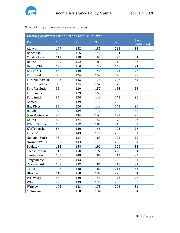

The clothing allowance table is as follows:

| <b>Clothing Allowance for Adults and Mature Children</b> |              |                |     |                         |                           |  |
|----------------------------------------------------------|--------------|----------------|-----|-------------------------|---------------------------|--|
| <b>Community</b>                                         | $\mathbf{1}$ | $\overline{2}$ | 3   | $\overline{\mathbf{4}}$ | <b>Each</b><br>additional |  |
| Aklavik                                                  | 109          | 152            | 185 | 218                     | 33                        |  |
| Behchokò                                                 | 82           | 115            | 140 | 164                     | 25                        |  |
| Colville Lake                                            | 112          | 158            | 192 | 226                     | 34                        |  |
| Déline                                                   | 109          | 152            | 185 | 218                     | 33                        |  |
| Dettah/Ndilo                                             | 79           | 110            | 134 | 158                     | 24                        |  |
| Enterprise                                               | 86           | 120            | 146 | 172                     | 26                        |  |
| Fort Liard                                               | 89           | 124            | 152 | 178                     | 27                        |  |
| Fort McPherson                                           | 103          | 143            | 175 | 206                     | 31                        |  |
| <b>Fort Providence</b>                                   | 89           | 124            | 152 | 178                     | 27                        |  |
| <b>Fort Resolution</b>                                   | 92           | 129            | 157 | 185                     | 28                        |  |
| <b>Fort Simpson</b>                                      | 92           | 129            | 157 | 185                     | 28                        |  |
| Fort Smith                                               | 86           | 120            | 146 | 172                     | 26                        |  |
| Gamètì                                                   | 99           | 139            | 170 | 200                     | 30                        |  |
| Hay River                                                | 86           | 120            | 146 | 172                     | 26                        |  |
| 99<br>Inuvik                                             |              | 139            | 170 | 200                     | 30                        |  |
| Jean Marie River                                         | 95           | 134            | 163 | 191                     | 29                        |  |
| <b>Kakisa</b>                                            | 89           | 124            | 152 | 178                     | 27                        |  |
| K'ásho Got'iné                                           | 109          | 152            | 185 | 218                     | 33                        |  |
| K'atl'odeeche                                            | 86           | 120            | 146 | 172                     | 26                        |  |
| Łutselk'e                                                | 103          | 143            | 175 | 206                     | 31                        |  |
| Nahanni Butte                                            | 95           | 134            | 163 | 191                     | 29                        |  |
| Norman Wells                                             | 103          | 143            | 175 | 206                     | 31                        |  |
| Paulatuk                                                 | 112          | 158            | 192 | 226                     | 34                        |  |
| Sachs Harbour                                            | 112          | 158            | 192 | 226                     | 34                        |  |
| Sambaa K'e                                               | 106          | 148            | 180 | 212                     | 32                        |  |
| Tsiigehtchic                                             | 103          | 143            | 175 | 206                     | 31                        |  |
| Tuktoyaktuk                                              | 109          | 152            | 185 | 218                     | 33                        |  |
| Tulita                                                   | 106          | 148            | 180 | 212                     | 32                        |  |
| Ulukhaktok                                               | 112          | 158            | 192 | 226                     | 34                        |  |
| Wekweètì                                                 | 86           | 120            | 146 | 172                     | 26                        |  |
| Whatì                                                    | 99           | 139            | 170 | 200                     | 30                        |  |
| Wrigley                                                  | 103          | 143            | 175 | 206                     | 31                        |  |
| Yellowknife<br>79                                        |              | 110            | 134 | 158                     | 24                        |  |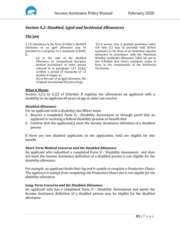

# *Section 4.2: Disabled, Aged and Incidental Allowances*

## **The Law**

2. (1) Assistance in the form of either a disabled allowance or an aged allowance may be provided to a recipient, to a maximum of \$405, if,

> (a) in the case of the disabled allowance, an occupational therapist, medical practitioner or other person referred to in paragraph 13.1 (5)(a), certifies a period of incapacity of 12 months or longer; or (b) in the case of an aged allowance, the recipient has attained 60 years of age.

(2) A person who is granted assistance under sub item (1) may be provided with further assistance in the form of an incidental expense allowance in accordance with the Maximum Monthly Incidental Allowance Table set out in this Schedule that shows maximum scales in force in the communities of the Northwest Territories.

## **What it Means**

Section 2.(1) to 2.(2) of Schedule B explains the allowances an applicant with a disability or an applicant 60 years of age or older can receive.

## *Disabled Allowance*

For an applicant with a disability, the Officer must:

- 1. Receive a completed Form D Disability Assessment or through proof that an applicant is receiving a federal disability pension or benefit And
- 2. Confirm that the applicant(s) meet the Income Assistance definition of a disabled person

If there are two disabled applicants on the application, both are eligible for this benefit.

#### *Short-Term Medical Concerns and the Disabled Allowance*

An applicant who submitted a completed Form D - Disability Assessment and does not meet the Income Assistance definition of a disabled person is not eligible for the disability allowance.

*For example, an applicant broke their leg and is unable to complete a Productive Choice. The applicant is exempt from completing the Productive Choice but is not eligible for the disability allowance.* 

#### *Long-Term Concerns and the Disabled Allowance*

An applicant who has a completed Form D - Disability Assessment and meets the Income Assistance definition of a disabled person may be eligible for the disabled allowance.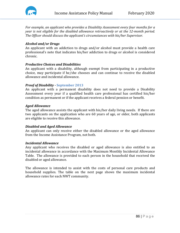

*For example, an applicant who provides a Disability Assessment every four months for a year is not eligible for the disabled allowance retroactively or at the 12-month period. The Officer should discuss the applicant's circumstances with his/her Supervisor.*

#### *Alcohol and/or Drugs*

An applicant with an addiction to drugs and/or alcohol must provide a health care professional's note that indicates his/her addiction to drugs or alcohol is considered chronic.

## *Productive Choices and Disabilities*

An applicant with a disability, although exempt from participating in a productive choice, may participate if he/she chooses and can continue to receive the disabled allowance and incidental allowance.

#### *Proof of Disability -* **September 2013**

An applicant with a permanent disability does not need to provide a Disability Assessment every year if a qualified health care professional has certified his/her condition as permanent or if the applicant receives a federal pension or benefit.

#### *Aged Allowance*

The aged allowance assists the applicant with his/her daily living needs. If there are two applicants on the application who are 60 years of age, or older, both applicants are eligible to receive this allowance.

#### *Disabled and Aged Allowance*

An applicant can only receive either the disabled allowance or the aged allowance from the Income Assistance Program, not both.

#### *Incidental Allowance*

Any applicant who receives the disabled or aged allowance is also entitled to an incidental allowance in accordance with the Maximum Monthly Incidental Allowance Table. The allowance is provided to each person in the household that received the disabled or aged allowance.

The allowance is intended to assist with the costs of personal care products and household supplies. The table on the next page shows the maximum incidental allowance rates for each NWT community.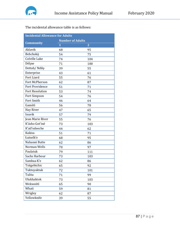

The incidental allowance table is as follows:

| <b>Incidental Allowance for Adults</b> |                         |                |  |  |  |  |
|----------------------------------------|-------------------------|----------------|--|--|--|--|
|                                        | <b>Number of Adults</b> |                |  |  |  |  |
| <b>Community</b>                       | $\mathbf{1}$            | $\overline{2}$ |  |  |  |  |
| Aklavik                                | 68                      | 95             |  |  |  |  |
| Behchokò                               | 54                      | 75             |  |  |  |  |
| Colville Lake                          | 74                      | 104            |  |  |  |  |
| Délįne                                 | 71                      | 100            |  |  |  |  |
| Dettah/Ndilo                           | 39                      | 55             |  |  |  |  |
| Enterprise                             | 43                      | 61             |  |  |  |  |
| Fort Liard                             | 55                      | 76             |  |  |  |  |
| Fort McPherson                         | 62                      | 87             |  |  |  |  |
| Fort Providence                        | 51                      | 71             |  |  |  |  |
| <b>Fort Resolution</b>                 | 53                      | 74             |  |  |  |  |
| Fort Simpson                           | 54                      | 76             |  |  |  |  |
| Fort Smith                             | 46                      | 64             |  |  |  |  |
| Gamètì                                 | 56                      | 78             |  |  |  |  |
| Hay River                              | 47                      | 65             |  |  |  |  |
| Inuvik                                 | 57                      | 79             |  |  |  |  |
| <b>Jean Marie River</b>                | 55                      | 76             |  |  |  |  |
| K'ásho Got'iné                         | 73                      | 103            |  |  |  |  |
| K'atl'odeeche                          | 44                      | 62             |  |  |  |  |
| Kakisa                                 | 51                      | 71             |  |  |  |  |
| Łutselk'e                              | 68                      | 95             |  |  |  |  |
| Nahanni Butte                          | 62                      | 86             |  |  |  |  |
| Norman Wells                           | 70                      | 97             |  |  |  |  |
| Paulatuk                               | 79                      | 111            |  |  |  |  |
| Sachs Harbour                          | 73                      | 103            |  |  |  |  |
| Sambaa K'e                             | 62                      | 86             |  |  |  |  |
| Tsiigehtchic                           | 65                      | 92             |  |  |  |  |
| Tuktoyaktuk                            | 72                      | 101            |  |  |  |  |
| Tulita                                 | 71                      | 99             |  |  |  |  |
| Ulukhaktok                             | 73                      | 103            |  |  |  |  |
| Wekweètì                               | 65                      | 90             |  |  |  |  |
| Whatì                                  | 59                      | 81             |  |  |  |  |
| Wrigley                                | 62                      | 87             |  |  |  |  |
| Yellowknife                            | 39                      | 55             |  |  |  |  |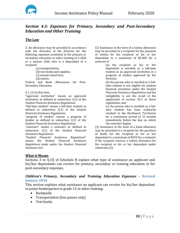

# *Section 4.3: Expenses for Primary, Secondary and Post-Secondary Education and Other Training*

## **The Law**

3. An allowance may be provided in accordance with the direction of the Director for the following expenses incidental to the primary or secondary education or other training of a child or a mature child who is a dependant of a recipient:

- (a) transportation;
- (b) text books and supplies;
- (c) annual school fees;
- (d) tuition.

Tuition and Book Allowances for Post-Secondary Education

4.1. (1) In this item,

"approved institution" means an approved institution as defined in subsection 1(1) of the *Student Financial Assistance Regulations*.

"full-time student" means a full-time student as defined in subsection 1(1) of the *Student Financial Assistance Regulations*.

"program of studies" means a program of studies as defined in subsection 1(1) of the *Student Financial Assistance Regulations*.

"semester" means a semester as defined in subsection 1(1) of the *Student Financial Assistance Regulations*.

"*Student Financial Assistance Regulations*" means the *Student Financial Assistance Regulations* made under the *Student Financial Assistance Act*.

(2) Assistance in the form of a tuition allowance may be provided to a recipient for the payment of tuition for the recipient or his or her dependant to a maximum of \$2,400 for a semester if

> (a) the recipient or his or her dependant is enrolled as a full-time student at an approved institution in a program of studies approved by the Director;

> (b) the person who is enrolled as a fulltime student is not eligible for student financial assistance under the *Student Financial Assistance Regulations* and the ineligibility is not the result of the application of section 35.2 of those regulations; and

> (c) the person who is enrolled as a fulltime student has been ordinarily resident in the Northwest Territories for a continuous period of 12 months immediately before the day on which the semester begins.

(3) Assistance in the form of a book allowance may be provided to a recipient for the purchase of books for the recipient or his or her dependant to a maximum of \$550 for a semester if the recipient receives a tuition allowance for the recipient or his or her dependant under subsection (2).

#### **What it Means**

Sections 3 to 4.(3) of Schedule B explain what type of assistance an applicant and his/her dependants can receive for primary, secondary or training education or for post-secondary expenses.

#### *Children's Primary, Secondary and Training Education Expenses -* **Revised January 2018**

This section explains what assistance an applicant can receive for his/her dependant in junior kindergarten to grade 12 or other training:

- Backpacks
- Transportation (bus passes only)
- Text books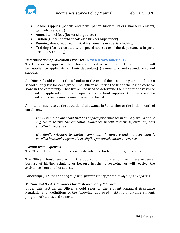

- School supplies (pencils and pens, paper, binders, rulers, markers, erasers, geometry sets, etc.)
- Annual school fees (locker charges, etc.)
- Tuition (Officer should speak with his/her Supervisor)
- Running shoes, required musical instruments or special clothing
- Training (fees associated with special courses or if the dependant is in postsecondary training)

# *Determination of Education Expenses -* **Revised November 2017**

The Director has approved the following procedure to determine the amount that will be supplied to applicants for their dependant(s) elementary and secondary school supplies.

An Officer should contact the school(s) at the end of the academic year and obtain a school supply list for each grade. The Officer will price the list at the least expensive store in the community. That list will be used to determine the amount of assistance provided to applicants for their dependant(s)' school supplies. Applicants will be provided with a lump sum payment based on the list.

Applicants may receive the educational allowance in September or the initial month of enrolment.

*For example, an applicant that has applied for assistance in January would not be eligible to receive the education allowance benefit if their dependant(s) was enrolled in September.*

*If a family relocates to another community in January and the dependant is enrolled in school, they would be eligible for the education allowance.*

## *Exempt from Expenses*

The Officer does not pay for expenses already paid for by other organizations.

The Officer should ensure that the applicant is not exempt from these expenses because of his/her ethnicity or because he/she is receiving, or will receive, the assistance from another source.

*For example, a First Nations group may provide money for the child(ren)'s bus passes.*

## *Tuition and Book Allowances for Post-Secondary Education*

Under this section, an Officer should refer to the Student Financial Assistance Regulations for definitions of the following: approved institution, full-time student, program of studies and semester.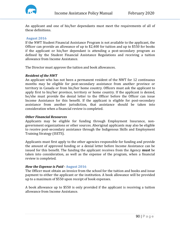

An applicant and one of his/her dependants must meet the requirements of all of these definitions.

#### **August 2016**

If the NWT Student Financial Assistance Program is not available to the applicant, the Officer can provide an allowance of up to \$2,400 for tuition and up to \$550 for books if the applicant or his/her dependant is attending a post-secondary program as defined by the Student Financial Assistance Regulations and receiving a tuition allowance from Income Assistance.

The Director must approve the tuition and book allowances.

#### *Resident of the NWT*

An applicant who has not been a permanent resident of the NWT for 12 continuous months may be eligible for post-secondary assistance from another province or territory in Canada or from his/her home country. Officers must ask the applicant to apply first to his/her province, territory or home country. If the applicant is denied, he/she must provide the denial letter to the Officer before the Officer can issue Income Assistance for this benefit. If the applicant is eligible for post-secondary assistance from another jurisdiction, that assistance should be taken into consideration when a financial review is completed.

#### *Other Financial Resources*

Applicants may be eligible for funding through Employment Insurance, nongovernment organizations or other sources. Aboriginal applicants may also be eligible to receive post-secondary assistance through the Indigenous Skills and Employment Training Strategy (ISETS).

Applicants must first apply to the other agencies responsible for funding and provide the amount of approved funding or a denial letter before Income Assistance can be issued for this benefit. The funding the applicant receives from the Agency **must** be taken into consideration, as well as the expense of the program, when a financial review is completed.

## *How the Expense is Paid -* **August 2016**

The Officer must obtain an invoice from the school for the tuition and books and issue payment to either the applicant or the institution. A book allowance will be provided up to a maximum of \$550 upon receipt of book expenses.

A book allowance up to \$550 is only provided if the applicant is receiving a tuition allowance from Income Assistance.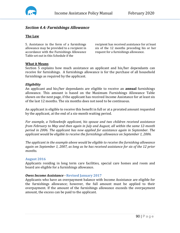

# *Section 4.4: Furnishings Allowance*

## **The Law**

5. Assistance in the form of a furnishings allowance may be provided to a recipient in accordance with the Furnishings Allowance Table set out in this Schedule if the

recipient has received assistance for at least six of the 12 months preceding his or her request for a furnishings allowance.

#### **What it Means**

Section 5 explains how much assistance an applicant and his/her dependants can receive for furnishings. A furnishings allowance is for the purchase of all household furnishings as required by the applicant.

#### *Eligibility*

An applicant and his/her dependants are eligible to receive an **annual** furnishings allowance. This amount is based on the Maximum Furnishings Allowance Table shown on the next page, if the applicant has received Income Assistance for at least six of the last 12 months. The six months does not need to be continuous.

An applicant is eligible to receive this benefit in full or at a prorated amount requested by the applicant, at the end of a six-month waiting period.

*For example, a Yellowknife applicant, his spouse and two children received assistance from February to May and then again in July and August, all within the same 12-month period in 2006. The applicant has now applied for assistance again in September. The applicant would be eligible to receive the furnishings allowance on September 1, 2006.*

*The applicant in the example above would be eligible to receive the furnishing allowance again on September 1, 2007, as long as he has received assistance for six of the 12 prior months.*

#### **August 2016**

Applicants residing in long term care facilities, special care homes and room and board are eligible for a furnishings allowance.

## *Owes Income Assistance -* **Revised January 2017**

Applicants who have an overpayment balance with Income Assistance are eligible for the furnishings allowance; however, the full amount must be applied to their overpayment. If the amount of the furnishings allowance exceeds the overpayment amount, the excess can be paid to the applicant.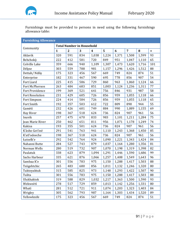

Furnishings must be provided to persons in need using the following furnishings allowance table:

| <b>Furnishing Allowance</b> |
|-----------------------------|
|                             |
|                             |

| Community              | <b>Total Number in Household</b> |                |     |                         |       |       |                |       |           |
|------------------------|----------------------------------|----------------|-----|-------------------------|-------|-------|----------------|-------|-----------|
|                        | $\mathbf{1}$                     | $\overline{2}$ | 3   | $\overline{\mathbf{4}}$ | 5     | 6     | $\overline{7}$ | 8     | $\ddot{}$ |
| Aklavik                | 320                              | 591            | 834 | 1,038                   | 1,224 | 1,371 | 1,508          | 1,599 | 93        |
| Behchokò               | 222                              | 412            | 581 | 720                     | 849   | 951   | 1,047          | 1,110 | 65        |
| Colville Lake          | 359                              | 666            | 940 | 1,109                   | 1,307 | 1,473 | 1,620          | 1,716 | 101       |
| Délįne                 | 303                              | 559            | 788 | 981                     | 1,157 | 1,296 | 1,426          | 1,512 | 88        |
| Dettah/Ndilo           | 175                              | 323            | 456 | 567                     | 669   | 749   | 824            | 874   | 51        |
| Enterprise             | 182                              | 331            | 467 | 590                     | 695   | 778   | 856            | 907   | 54        |
| Fort Liard             | 225                              | 415            | 586 | 729                     | 860   | 963   | 1,060          | 1,124 | 66        |
| Fort McPherson         | 263                              | 484            | 683 | 851                     | 1,003 | 1,124 | 1,236          | 1,311 | 77        |
| Fort Providence        | 199                              | 369            | 521 | 641                     | 756   | 846   | 931            | 987   | 58        |
| <b>Fort Resolution</b> | 231                              | 429            | 605 | 726                     | 856   | 959   | 1,055          | 1,118 | 66        |
| Fort Simpson           | 224                              | 414            | 584 | 726                     | 856   | 959   | 1,055          | 1,118 | 65        |
| Fort Smith             | 192                              | 357            | 503 | 612                     | 722   | 809   | 890            | 944   | 55        |
| Gamètì                 | 232                              | 426            | 601 | 749                     | 884   | 990   | 1,089          | 1,155 | 69        |
| Hay River              | 198                              | 367            | 518 | 624                     | 736   | 824   | 907            | 961   | 56        |
| Inuvik                 | 257                              | 475            | 670 | 833                     | 983   | 1,101 | 1,211          | 1,284 | 75        |
| Jean Marie River       | 250                              | 462            | 651 | 811                     | 956   | 1,071 | 1,178          | 1,249 | 74        |
| Kakisa                 | 193                              | 355            | 501 | 624                     | 736   | 824   | 907            | 961   | 56        |
| K'ásho Got'iné         | 291                              | 541            | 763 | 941                     | 1,110 | 1,243 | 1,368          | 1,450 | 85        |
| K'atl'odeeche          | 198                              | 367            | 518 | 624                     | 736   | 824   | 907            | 961   | 56        |
| Łutselk'e              | 292                              | 542            | 764 | 924                     | 1,090 | 1,221 | 1,343          | 1,424 | 84        |
| Nahanni Butte          | 284                              | 527            | 743 | 879                     | 1,037 | 1,164 | 1,280          | 1,356 | 81        |
| Norman Wells           | 280                              | 519            | 732 | 907                     | 1,070 | 1,198 | 1,319          | 1,398 | 82        |
| Paulatuk               | 338                              | 623            | 879 | 1,094                   | 1,291 | 1,446 | 1,590          | 1,686 | 99        |
| Sachs Harbour          | 335                              | 621            | 876 | 1,066                   | 1,257 | 1,408 | 1,549          | 1,643 | 96        |
| Sambaa K'e             | 301                              | 556            | 783 | 975                     | 1,150 | 1,288 | 1,417          | 1,503 | 88        |
| Tsiigehtchic           | 265                              | 483            | 680 | 856                     | 1,011 | 1,132 | 1,246          | 1,320 | 80        |
| Tuktoyaktuk            | 315                              | 585            | 825 | 973                     | 1,148 | 1,293 | 1,422          | 1,507 | 90        |
| Tulita                 | 301                              | 556            | 783 | 975                     | 1,150 | 1,288 | 1,417          | 1,503 | 88        |
| Ulukhaktok             | 319                              | 588            | 829 | 1,032                   | 1,217 | 1,363 | 1,500          | 1,590 | 93        |
| Wekweètì               | 278                              | 517            | 729 | 859                     | 1,013 | 1,142 | 1,256          | 1,331 | 80        |
| Whatì                  | 281                              | 512            | 721 | 911                     | 1,074 | 1,203 | 1,323          | 1,403 | 84        |
| Wrigley                | 305                              | 562            | 793 | 987                     | 1,164 | 1,303 | 1,434          | 1,520 | 89        |
| Yellowknife            | 175                              | 323            | 456 | 567                     | 669   | 749   | 824            | 874   | 51        |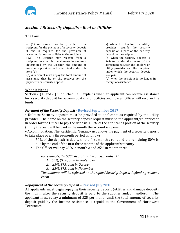

# *Section 4.5: Security Deposits – Rent or Utilities*

# **The Law**

6. (1) Assistance may be provided to a recipient for the payment of a security deposit if one is required for the provision of accommodations or utilities to the recipient.

(1.1) The Director may recover from a recipient, in monthly installments in amounts determined by the Director, the amount of assistance provided to the recipient under sub item (1).

(2) A recipient must repay the total amount of assistance that he or she receives for the payment of a security deposit

a) when the landlord or utility provider refunds the security deposit or a part of the security deposit to the recipient; (b) when the security deposit is forfeited under the terms of the agreement between the landlord or utility provider and the recipient under which the security deposit was paid; or (c) when the recipient is no longer in receipt of assistance

## **What it Means**

Section 6.(1) and 6.(2) of Schedule B explains when an applicant can receive assistance for a security deposit for accommodations or utilities and how an Officer will recover the funds.

## *Payment of the Security Deposit -* **Revised September 2017**

• Utilities: Security deposits must be provided to applicants as required by the utility provider. The name on the security deposit request must be the applicant/co-applicant in order for the Officer to pay the deposit. 100% of the applicant's portion of the security (utility) deposit will be paid in the month the account is opened.

• Accommodation: The Residential Tenancy Act allows the payment of a security deposit to take place over a three-month period as follows:

- $\circ$  50% of the deposit is due with the first month's rent and the remaining 50% is due by the end of the first three months of the applicant's tenancy
- o The Officer will pay 25% in month 2 and 25% in month three

*For example, if a \$300 deposit is due on September 1st*

- *1. 50%, \$150, paid in September*
- *2. 25%, \$75, paid in October*
- *3. 25%, \$75, paid in November*

*The amounts will be reflected on the signed Security Deposit Refund Agreement Form.* 

## *Repayment of the Security Deposit –* **Revised July 2018**

All applicants must begin repaying their security deposit (utilities and damage deposit) the month after the security deposit is paid to the supplier and/or landlord. applicant must repay a minimum of \$25 per month until the total amount of security deposit paid by the Income Assistance is repaid to the Government of Northwest Territories.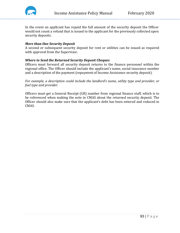

In the event an applicant has repaid the full amount of the security deposit the Officer would not count a refund that is issued to the applicant for the previously collected upon security deposits.

#### *More than One Security Deposit*

A second or subsequent security deposit for rent or utilities can be issued as required with approval from the Supervisor.

#### *Where to Send the Returned Security Deposit Cheques*

Officers must forward all security deposit returns to the finance personnel within the regional office. The Officer should include the applicant's name, social insurance number and a description of the payment (repayment of Income Assistance security deposit).

*For example, a description could include the landlord's name, utility type and provider, or fuel type and provider.*

Officers must get a General Receipt (GR) number from regional finance staff, which is to be referenced when making the note in CMAS about the returned security deposit. The Officer should also make sure that the applicant's debt has been entered and reduced in CMAS.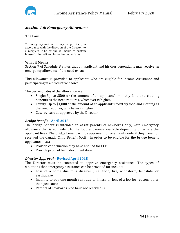

# *Section 4.6: Emergency Allowance*

# **The Law**

7. Emergency assistance may be provided, in accordance with the direction of the Director, to a recipient if he or she is unable to sustain himself or herself and his or her dependants.

#### **What it Means**

Section 7 of Schedule B states that an applicant and his/her dependants may receive an emergency allowance if the need exists.

This allowance is provided to applicants who are eligible for Income Assistance and participating in a productive choice.

The current rates of the allowance are:<br>• Single: Up to \$500 or the amo

- Single: Up to \$500 or the amount of an applicant's monthly food and clothing benefits as the need requires, whichever is higher.
- Family: Up to \$1,000 or the amount of an applicant's monthly food and clothing as the need requires, whichever is higher.
- Case-by-case as approved by the Director.

## *Bridge Benefit* **– April 2018**

The bridge benefit is intended to assist parents of newborns only, with emergency allowance that is equivalent to the food allowance available depending on where the applicant lives. The bridge benefit will be approved for one month only if they have not received the Canada Child Benefit (CCB). In order to be eligible for the bridge benefit applicants must:

- Provide confirmation they have applied for CCB
- Provide proof of birth documentation.

## *Director Approval* **– Revised April 2018**

The Director must be contacted to approve emergency assistance. The types of situations that emergency assistance can be provided for include:

- Loss of a home due to a disaster ; i.e. flood, fire, windstorm, landslide, or earthquake
- Inability to pay one month rent due to illness or loss of a job for reasons other than just cause
- Parents of newborns who have not received CCB.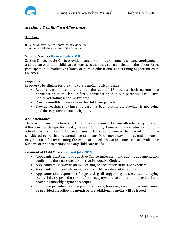

# *Section 4.7 Child Care Allowance*

# **The Law**

8. A child care benefit may be provided in accordance with the direction of the Director

# **What it Means - Revised July 2019**

Section 8 of Schedule B is to provide financial support to Income Assistance applicants to assist them with their child care expenses so that they can participate in the labour force, participate in a Productive Choice, or pursue educational and training opportunities in the NWT.

## *Eligibility*

In order to be eligible for the child care benefit, applicants must:

- Require care for children under the age of 13 because both parents are participating in the labour force, participating in a non-parenting Productive Choice, attending school or training.
- Provide monthly invoices from the child care provider.
- Provide receipts showing child care has been paid, if the provider is not being paid directly, for continued eligibility.

## *Non-Attendance*

There will be no deduction from the child care payment for non-attendance by the child if the provider charges for the days missed. Similarly, there will be no deduction for nonattendance by parents. However, unsubstantiated absences by parents that are considered to be chronic attendance problems (4 or more days in a calendar month) may be cause for terminating the child care need. The Officer must consult with their Supervisor prior to terminating any child care needs.

## *Payment of Child Care –* **Revised July 2019**

- Applicants must sign a Productive Choice Agreement and submit documentation confirming their participation in that Productive Choice.
- Applicants must provide an invoice and/or receipt for child care expenses.
- Applicants must provide an invoice if a child care deposit is required.
- Applicants are responsible for providing all supporting documentation, paying their child care provider (or opt for direct payments to applicant or provider) and providing monthly payment receipts.
- Child care providers may be paid in advance, however, receipt of payment must be provided the following month before additional benefits will be issued.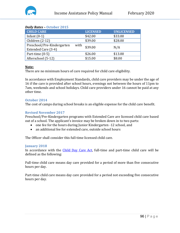# *Daily Rates –* **October 2015**

| <b>CHILD CARE</b>                                         | <b>LICENSED</b> | <b>UNLICENSED</b> |
|-----------------------------------------------------------|-----------------|-------------------|
| Infant $(0-1)$                                            | \$42.00         | \$33.00           |
| Children (2-12)                                           | \$39.00         | \$28.00           |
| Preschool/Pre-Kindergarten<br>with<br>Extended Care (3-4) | \$39.00         | N/A               |
| Part-time $(0-5)$                                         | \$26.00         | \$13.00           |
| Afterschool (5-12)                                        | \$15.00         | \$8.00            |

# **Note:**

There are no minimum hours of care required for child care eligibility.

In accordance with Employment Standards, child care providers may be under the age of 16 if the care is provided after school hours, evenings not between the hours of 11pm to 7am, weekends and school holidays. Child care providers under 16 cannot be paid at any other time.

## **October 2014**

The cost of camps during school breaks is an eligible expense for the child care benefit.

# **Revised November 2017**

Preschool/Pre-Kindergarten programs with Extended Care are licensed child care based out of a school. The applicant's invoice may be broken down in to two parts:

- one fee for the hours during Junior Kindergarten -12 school, and<br>• an additional fee for extended care, outside school hours
- an additional fee for extended care, outside school hours

The Officer shall consider this full-time licensed child care.

## **January 2018**

In accordance with the [Child Day Care Act,](https://www.justice.gov.nt.ca/en/files/legislation/child-day-care/child-day-care.r1.pdf) full-time and part-time child care will be defined as the following:

Full-time child care means day care provided for a period of more than five consecutive hours per day.

Part-time child care means day care provided for a period not exceeding five consecutive hours per day.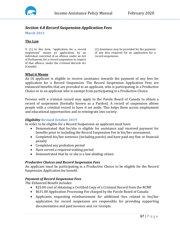

# *Section 4.8 Record Suspension Application Fees*

**March 2013**

#### **The Law**

9. (1) In this item, "application for a record suspension" means an application, by an individual convicted of an offence under an Act of Parliament, for a record suspension in respect of that offence, under the *Criminal Records Act* (Canada)

(2) Assistance may be provided for the payment of any fees required for an application for a record suspension.

#### **What it Means**

An IA applicant is eligible to receive assistance towards the payment of any fees for application for a Record Suspension. The Record Suspension Application Fees are enhanced benefits that are provided to an applicant, who is participating in a Productive Choice or to an applicant who is exempt from participating in a Productive Choice.

Persons with a criminal record may apply to the Parole Board of Canada to obtain a record of suspension (formally known as a Pardon). A record of suspension allows people with a criminal record to have it set aside. This helps them access employment and educational opportunities and to reintegrate into society.

## *Eligibility* **Revised October 2019**

In order to be eligible for a Record Suspension an applicant must have:

- Demonstrated that he/she is eligible for assistance and received payment for benefits prior to including the Record Suspension Fee in his/her assessment.
- Completed his/her sentence (including parole) and have paid any fine or financial penalty
- Completed any probation period
- Have served a required waiting period
- Demonstrated that he or she is a law-abiding citizen

#### *Productive Choices and Record Suspension Fees*

An applicant must be participating in a Productive Choice to be eligible for the Record Suspension Application fee benefit.

## *Payment of Record Suspension Fees*

The Enhanced Benefit includes:

- \$25.00 cost of obtaining a Certified Copy of a Criminal Record from the RCMP
- \$631.00 Application Processing Fee charged by the Parole Board of Canada
- Applicants requesting reimbursement for additional fees related to his/her application for record suspension are responsible for providing supporting documentation and paid invoices and /or receipts.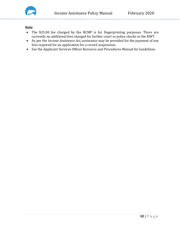

## **Note**

- The \$25.00 fee charged by the RCMP is for fingerprinting purposes. There are currently no additional fees charged for further court or police checks in the NWT.
- As per the *Income Assistance Act*, assistance may be provided for the payment of *any* fees required for an application for a record suspension.
- See the Applicant Services Officer Resource and Procedures Manual for Guidelines.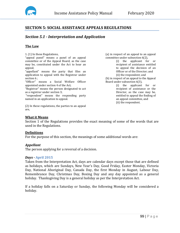

# **SECTION 5: SOCIAL ASSISTANCE APPEALS REGULATIONS**

# *Section 5.1 - Interpretation and Application*

#### **The Law**

1. (1) In these Regulations,

"appeal panel" means a panel of an appeal committee or of the Appeal Board, as the case may be, constituted under the Act to hear an appeal;

"appellant" means the party that files an application to appeal with the Registrar under section 6 ;

"Officer" means a Social Welfare Officer appointed under section 4 of the Act;

"Registrar" means the person designated to act as a registrar under section 3;

"respondent" means the responding party named in an application to appeal.

(2) In these regulations, the parties to an appeal are,

(a) in respect of an appeal to an appeal committee under subsection 6(2),

(i) the applicant for or recipient of assistance entitled to appeal the decision of an Officer or of the Director; and (ii) the respondent; and

(b) in respect of an appeal to the Appeal Board under subsection 6(3),

(i) the applicant for or recipient of assistance or the Director, as the case may be, entitled to appeal the finding of an appeal committee, and (ii) the respondent.

## **What it Means**

Section 1 of the Regulations provides the exact meaning of some of the words that are used in the Regulations.

## **Definitions**

For the purpose of this section, the meanings of some additional words are:

#### *Appellant*

The person applying for a reversal of a decision.

#### *Days -* **April 2015**

Taken from the Interpretation Act, days are calendar days except those that are defined as holidays, which are Sundays, New Year's Day, Good Friday, Easter Monday, Victoria Day, National Aboriginal Day, Canada Day, the first Monday in August, Labour Day, Remembrance Day, Christmas Day, Boxing Day and any day appointed as a general holiday. Thanksgiving Day is a general holiday as per the Interpretation Act.

If a holiday falls on a Saturday or Sunday, the following Monday will be considered a holiday.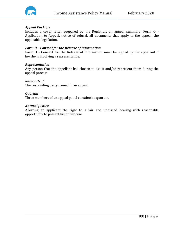

#### *Appeal Package*

Includes a cover letter prepared by the Registrar, an appeal summary, Form O - Application to Appeal, notice of refusal, all documents that apply to the appeal, the applicable legislation.

#### *Form H – Consent for the Release of Information*

Form H - Consent for the Release of Information must be signed by the appellant if he/she is involving a representative.

#### *Representative*

Any person that the appellant has chosen to assist and/or represent them during the appeal process**.**

#### *Respondent*

The responding party named in an appeal.

#### *Quorum*

Three members of an appeal panel constitute a quorum**.** 

#### *Natural Justice*

Allowing an applicant the right to a fair and unbiased hearing with reasonable opportunity to present his or her case.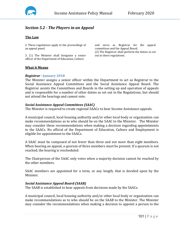

# *Section 5.2 - The Players in an Appeal*

## **The Law**

2. These regulations apply to the proceedings of an appeal panel.

3. (1) The Minister shall designate a senior officer of the Department of Education, Culture

and serve as Registrar for the appeal committees and the Appeal Board. (2) The Registrar shall perform the duties as set out in these regulations.

#### **What it Means**

#### *Registrar -* **January 2018**

The Minister assigns a senior officer within the Department to act as Registrar to the Social Assistance Appeal Committees and the Social Assistance Appeal Board. The Registrar assists the Committees and Boards in the setting up and operation of appeals and is responsible for a number of other duties as set out in the Regulations, but should not attend the hearings and cannot vote.

#### *Social Assistance Appeal Committees (SAAC)*

The Minister is required to create regional SAACs to hear Income Assistance appeals.

A municipal council, local housing authority and/or other local body or organization can make recommendations as to who should be on the SAAC to the Minister. The Minister may consider these recommendations when making a decision regarding appointments to the SAACs. No official of the Department of Education, Culture and Employment is eligible for appointment to the SAACs.

A SAAC must be composed of not fewer than three and not more than eight members. When hearing an appeal, a quorum of three members must be present. If a quorum is not reached, the hearing is rescheduled.

The Chairperson of the SAAC only votes when a majority decision cannot be reached by the other members.

SAAC members are appointed for a term, or any length, that is decided upon by the Minister.

## *Social Assistance Appeal Board (SAAB)*

The SAAB is established to hear appeals from decisions made by the SAACs.

A municipal council, local housing authority and/or other local body or organization can make recommendations as to who should be on the SAAB to the Minister. The Minister may consider the recommendations when making a decision to appoint a person to the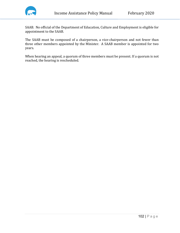

SAAB. No official of the Department of Education, Culture and Employment is eligible for appointment to the SAAB.

The SAAB must be composed of a chairperson, a vice-chairperson and not fewer than three other members appointed by the Minister. A SAAB member is appointed for two years.

When hearing an appeal, a quorum of three members must be present. If a quorum is not reached, the hearing is rescheduled.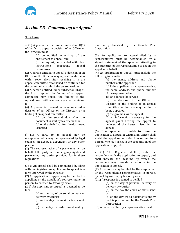

# *Section 5.3 - Commencing an Appeal*

#### **The Law**

4. (1) A person entitled under subsection 8(1) of the Act to appeal a decision of an Officer or the Director, must,

> (a) be notified in writing of the entitlement to appeal; and (b) on request, be provided with clear<br>instructions respecting appeal respecting procedures.

(2) A person entitled to appeal a decision of an Officer or the Director may appeal the decision within seven days after receiving it to the appeal committee established or continued for the community in which the person resides.

(3) A person entitled under subsection 8(3) of the Act to appeal the finding of an appeal committee may appeal the finding to the Appeal Board within seven days after receiving it.

(4) A person is deemed to have received a decision of an Officer or the Director, or a finding of an appeal committee

> (a) on the second day after the document is sent by fax or email; or (b) on the sixth day after the document is mailed.

5. (1) A party to an appeal may be unrepresented or may be represented by legal counsel, an agent, a dependant or any other person.

(2) The representative of a party may act on behalf of the party in exercising any rights and performing any duties provided for in these regulations

6. (1) An appeal shall be commenced by filing with the Registrar an application to appeal, in a form approved by the Director

(2) An application to appeal may be filed by the appellant or the appellant's representative, in person, by courier, by fax or by email.

(2.1) An applicant to appeal is deemed to be filed

> (a) on the day of personal delivery or delivery by courier;

> (b) on the day the email or fax is sent; or

(c) on the day that a document sent by

mail is postmarked by the Canada Post Corporation.

(3) An application to appeal filed by a representative must be accompanied by a signed statement of the appellant attesting to the authority of the representative to act on the appellant's behalf.

(4) An application to appeal must include the following information:

> (a) the name, address and phone number of the appellant;

(b) if the appellant has a representative, the name, address, and phone number of the representative;

(c) an address for service;

(d) the decision of the Officer or Director or the finding of an appeal committee, as the case may be, that is being appealed;

(e) the grounds for the appeal;

(f) all information necessary for the appeal panel hearing the appeal to understand the issues raised in the appeal.

(5) If an appellant is unable to make the application to appeal in writing, an Officer shall assist the appellant or refer him or her to a person who may assist in the preparation of the application to appeal.

7. (1) The Registrar shall provide the respondent with the application to appeal, and shall indicate the deadline by which the respondent may provide a response to the application to appeal.

(2) A response may be filed by the respondent or the respondent's representative, in person, by mail, by courier, by fax, or by email.

(2.1) A response is deemed to be filed

(a) on the day of personal delivery or delivery by courier;

(b) on the day the email or fax is sent; or

(c) on the day that a document sent by mail is postmarked by the Canada Post Corporation

(3) A response filed by a representative must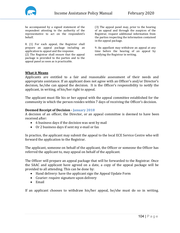

be accompanied by a signed statement of the respondent attesting to the authority of the representative to act on the respondent's behalf.

8. (1) For each appeal, the Registrar shall prepare an appeal package including an application to appeal and the response.

(2) The Registrar shall ensure that the appeal package is provided to the parties and to the appeal panel as soon as is practicable.

(3) The appeal panel may, prior to the hearing of an appeal and through the auspices of the Registrar, request additional information from the parties respecting the information contained in the appeal package.

9. An appellant may withdraw an appeal at any time before the hearing of an appeal by notifying the Registrar in writing.

## **What it Means**

Applicants are entitled to a fair and reasonable assessment of their needs and appropriate assistance. If an applicant does not agree with an Officer's and/or Director's decision, he/she can appeal the decision. It is the Officer's responsibility to notify the applicant, in writing, of his/her right to appeal.

The applicant must file his or her appeal with the appeal committee established for the community in which the person resides within 7 days of receiving the Officer's decision.

#### **Deemed Receipt of Decision - January 2018**

A decision of an officer, the Director, or an appeal committee is deemed to have been received after:

- 6 business days if the decision was sent by mail
- Or 2 business days if sent my e-mail or fax

In practice, the applicant may submit the appeal to the local ECE Service Centre who will forward the application to the Registrar.

The applicant, someone on behalf of the applicant, the Officer or someone the Officer has referred the applicant to, may appeal on behalf of the applicant.

The Officer will prepare an appeal package that will be forwarded to the Registrar. Once the SAAC and applicant have agreed on a date, a copy of the appeal package will be provided to all attending. This can be done by:

- Hand delivery: have the applicant sign the Appeal Update Form
- Courier: require signature upon delivery
- Email

If an applicant chooses to withdraw his/her appeal, he/she must do so in writing.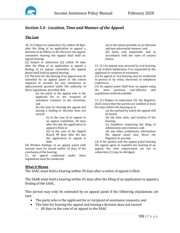

# *Section 5.4 - Location, Time and Manner of the Appeal*

## **The Law**

10. (1) Subject to subsection (3), within 30 days after the filing of an application to appeal a decision of an Officer or the Director, the appeal committee hearing the appeal shall hold an appeal hearing.

(2) Subject to subsection (3), within 45 days after the filing of an application to appeal a finding of an appeal committee, the Appeal Board shall hold an appeal hearing.

(3) The time for the hearing of an appeal may be extended by an appeal panel to the extent required to account for any extensions or adjournments granted under the authority of these regulations, provided that

> (a) the party to the appeal who is the applicant for or the recipient of assistance consents to the extension; and

> (b) the time for hearing the appeal and issuing a finding or decision does not exceed

> > (i) in the case of an appeal to an appeal committee, 60 days after the day the application to appeal is filed, or

> > (ii) in the case of the Appeal Board, 90 days after the day the application to appeal is filed

(4) Written findings of an appeal panel with reasons must be issued within 10 days of the conclusion of the hearing.

11. An appeal conducted under these regulations must be conducted

(a) to the extent possible, in an informal and non-adversarial manner; and

(b) fairly and impartially and in accordance with the rules of natural justice.

12. (1) An appeal may proceed by oral hearing, or by written submission, if so requested by the applicant or recipient of assistance.

(2) An appeal or oral hearing may be conducted in person or by video, electronic or telephone conference.

(3) An appeal panel shall hear an appeal using<br>the most practical cost-effective and the most practical, cost-effective expeditious method available.

13. (1) Subject to subsection (2), the Registrar shall ensure that the parties are notified at least five days before the hearing as to

(a) the method by which the appeal will be heard;

(b) the time, date, and location of the hearing;

(c) deadlines respecting the filing of submissions and evidence; and

(d) any other preliminary information the appeal panel may direct the Registrar to provide.

(2) If the parties and the appeal panel hearing the appeal agree to expedite the hearing of an appeal, the time requirement set out in subsection (1) may be abridged.

#### **What it Means**

The SAAC must hold a hearing within 30 days after a notice of appeal is filed.

The SAAB must hold a hearing within 45 days after the filing of an application to appeal a finding of the SAAC.

This period may only be extended by an appeal panel if the following stipulations are met:

- The party who is the applicant for or recipient of assistance consents; and
- The time for hearing the appeal and issuing a decision does not exceed
	- o 60 days in the case of an appeal to the SAAC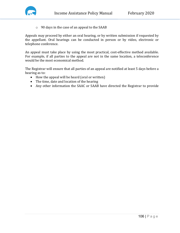

o 90 days in the case of an appeal to the SAAB

Appeals may proceed by either an oral hearing, or by written submission if requested by the appellant. Oral hearings can be conducted in person or by video, electronic or telephone conference.

An appeal must take place by using the most practical, cost-effective method available. For example, if all parties to the appeal are not in the same location, a teleconference would be the most economical method.

The Registrar will ensure that all parties of an appeal are notified at least 5 days before a hearing as to:

- How the appeal will be heard (oral or written)
- The time, date and location of the hearing
- Any other information the SAAC or SAAB have directed the Registrar to provide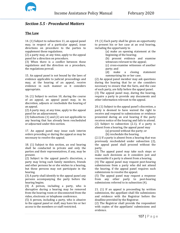

# *Section 5.5 - Procedural Matters*

## **The Law**

14. (1) Subject to subsection 11, an appeal panel may, in respect of a particular appeal, issue directions on procedure to the parties to supplement these regulations.

(2) a party may, at any time, apply to the appeal panel for a direction on procedure.

(3) When there is a conflict between these regulations and the direction on a procedure, the regulations prevail.

15. An appeal panel is not bound by the laws of evidence applicable to judicial proceedings and may, at the hearing of an appeal, receive evidence in such manner as it considers appropriate.

16. (1) Subject to section 10, during the course of an appeal, an appeal panel may, in its discretion, adjourn or reschedule the hearing of an appeal.

(2) A party may, at any time, apply to the appeal panel for an adjournment.

(3) Subsections (1) and (2) are not applicable to any hearing that has already been rescheduled or adjourned under this section.

17. An appeal panel may issue such interim orders preceding or during the appeal as may be necessary to resolve the appeal.

18. (1) Subject to this section, an oral hearing shall be conducted in private and only the parties and their representatives, if any, may be present.

(2) Subject to the appeal panel's discretion, a party may bring such family members, friends and other persons he or she wishes to a hearing, but these persons may not participate in the hearing.

(3) A party shall identify to the appeal panel any persons accompanying the party before the hearing begins.

(4) A person, including a party, who is disruptive during a hearing may be removed from the hearing room or disconnected from the video, electronic or telephone conference.

(5) A person, including a party, who is abusive to the appeal panel or staff, may have his or her access to the members or staff restricted.

19. (1) Each party shall be given an opportunity to present his or her case at an oral hearing, including the opportunity to

(a) make an opening statement at the beginning of the hearing;

(b) present evidence and examine witnesses relevant to the appeal;

(c) cross-examine witnesses of another party; and

(d) make a closing statement summarizing his or her case.

(2) An appeal panel member may ask questions during the hearing that he or she considers necessary to ensure that the facts, and the case of each party, are fully before the appeal panel.

(3) The appeal panel may, during the hearing, require a party to provide any documents and other information relevant to the appeal.

20. (1) Subject to the appeal panel's discretion, a party is deemed to have waived the right to receive and respond to submissions or evidence presented during an oral hearing if the party receives notice of the hearing and fails to attend. (2) Subject to subsection (2.1), if a party is absent from a hearing, the appeal panel may

(a) proceed without the party; or

(b) reschedule the hearing.

(2.1) If a party is absent from a hearing that was previously rescheduled under subsection (2), the appeal panel shall proceed without the party.

(3) The appeal panel may take such steps or make such decisions as it considers just and reasonable if a party is absent from a hearing.

(4) The appeal panel may request post-hearing submissions from a party who did not attend the hearing, if the appeal panel requires such submissions to resolve the appeal.

(5) The appeal panel may request a response from any other party to post-hearing submissions referred to in subsection (4).

21. (1) If an appeal is proceeding by written submission, the appellant shall file submissions and evidence with the Registrar before the deadline provided by the Registrar.

(2) The Registrar shall provide the respondent with copies of the appellants' submissions and evidence.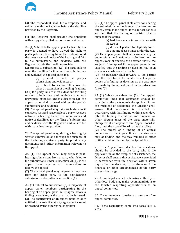

(3) The respondent shall file a response and evidence with the Registrar before the deadline provided by the Registrar.

(4) The Registrar shall provide the appellant with a copy of any filed response and evidence.

22. (1) Subject to the appeal panel's discretion, a party is deemed to have waived the right to participate in a hearing by written submission if the party received notice of the hearing and fails to file submissions and evidence with the Registrar within the deadline provided.

(2) Subject to subsection (2.1), if a party fails to meet the deadline for filing written submissions and evidence, the appeal panel may

(a) proceed without the party's submissions and evidence; or

(b) subject to section 10, allow the party an extension of the filing deadline.

(2.1) If a party fails to meet a deadline for filing written submissions and evidence that was previously extended under subsection (2), the appeal panel shall proceed without the party's submissions and evidence.

(3) The appeal panel may take such steps as it considers just and reasonable if a party receives notice of a hearing by written submission and notice of deadlines for the filing of submissions and evidence with the Registrar, and fails to file within the deadline provided.

23. The appeal panel may, during a hearing by written submission and through the auspices of the Registrar, require a party to provide any documents and other information relevant to the appeal.

24. (1) The appeal panel may request posthearing submissions from a party who failed to file submissions under subsection 21(1), if the appeal panel requires such submissions to resolve the appeal.

(2) The appeal panel may request a response from any other party to the post-hearing submissions referred to in subsection (1).

25. (1) Subject to subsection (2), a majority of appeal panel members participating in the hearing of an appeal panel must agree before a finding or decision, as the case may be, is issued. (2) The chairperson of an appeal panel is only entitled to a vote if majority agreement cannot be reached by the other panel members.

26. (1) The appeal panel shall, after considering the submissions and evidence submitted on an appeal, dismiss the appeal if the appeal panel is satisfied that the finding or decision that is subject of the appeal

(a) had been made in accordance with the Act; or

(b) does not pertain to eligibility for or the amount of assistance under the Act.

(2) The appeal panel shall, after considering the submissions and evidence submitted on an appeal, vary or reverse the decision that is the subject of the appeal if the appeal panel is not satisfied that the finding or decision had been made in accordance with the Act.

(3) The Registrar shall forward to the parties and the Director, if he or she is not a party, copies of a finding or decision, as the case may be, made by the appeal panel under subsection (1) or (2).

27. (1) Subject to subsection (2), if an appeal committee finds that assistance should be provided to the party who is the applicant for or the recipient of assistance, the Director shall ensure that assistance is provided in accordance with that finding within seven days after the finding, to continue until financial or other circumstances of the party materially change or, if an appeal to the Appeal Board is filed, until the Appeal Board varies the ruling. (2) The appeal of a finding of an appeal committee to the Appeal Board operates as a stay of finding, and the stay remains in effect until a decision is issued by the Appeal Board.

28. If the Appeal Board decides that assistance should be provided to the party who is the applicant for or the recipient of assistance, the Director shall ensure that assistance is provided in accordance with the decision within seven days after the decision, to continue until the financial or other circumstances of the party materially change.

29. A municipal council, a housing authority or other local body may make recommendations to the Minster respecting appointments to an appeal committee.

30. Three members constitute a quorum of an appeal committee.

31. These regulations come into force July 1, 2012.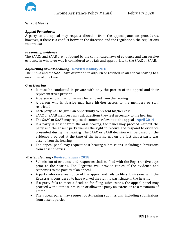

# **What it Means**

# *Appeal Procedures*

A party to the appeal may request direction from the appeal panel on procedures, however, if there is a conflict between the direction and the regulations, the regulations will prevail.

#### *Presenting Evidence*

The SAACs and SAAB are not bound by the complicated laws of evidence and can receive evidence in whatever way is considered to be fair and appropriate to the SAAC or SAAB.

## *Adjourning or Rescheduling -* **Revised January 2018**

The SAACs and the SAAB have discretion to adjourn or reschedule an appeal hearing to a maximum of one time.

#### *Oral Hearing*

- It must be conducted in private with only the parties of the appeal and their representatives present
- A person who is disruptive may be removed from the hearing
- A person who is abusive may have his/her access to the members or staff restricted
- Each party will be given an opportunity to present his/her case
- SAAC or SAAB members may ask questions they feel necessary to the hearing
- The SAAC or SAAB may request documents relevant to the appeal **April 2014**
- If a party is absent from the oral hearing, the panel may proceed without the party and the absent party waives the right to receive and respond to evidence presented during the hearing. The SAAC or SAAB decision will be based on the evidence provided at the time of the hearing not on the fact that a party was absent from the hearing
- The appeal panel may request post-hearing submissions, including submissions from absent parties

## *Written Hearing -* **Revised January 2018**

- Submission of evidence and responses shall be filed with the Registrar five days prior to the hearing. The Registrar will provide copies of the evidence and responses to the parties of an appeal
- A party who receives notice of the appeal and fails to file submissions with the Registrar is considered to have waived the right to participate in the hearing
- If a party fails to meet a deadline for filing submissions, the appeal panel may proceed without the submission or allow the party an extension to a maximum of 1 time.
- The appeal panel may request post-hearing submissions, including submissions from absent parties